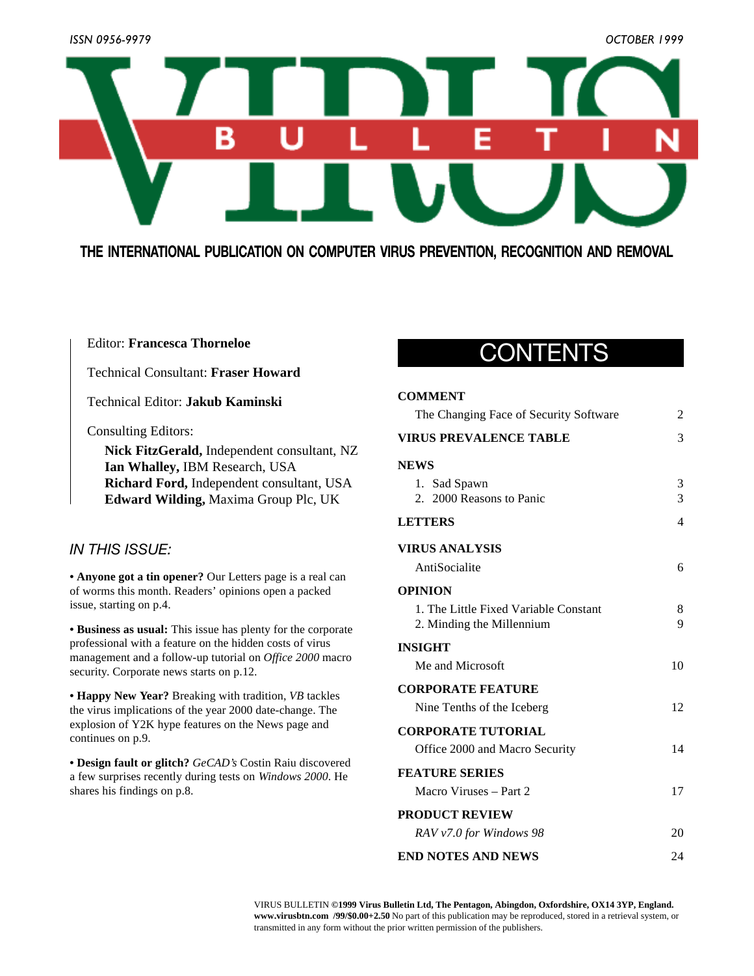

## **THE INTERNATIONAL PUBLICATION ON COMPUTER VIRUS PREVENTION, RECOGNITION AND REMOVAL**

## Editor: **Francesca Thorneloe**

## Technical Consultant: **Fraser Howard**

Technical Editor: **Jakub Kaminski**

## Consulting Editors:

**Nick FitzGerald,** Independent consultant, NZ **Ian Whalley,** IBM Research, USA **Richard Ford,** Independent consultant, USA **Edward Wilding,** Maxima Group Plc, UK

## *IN THIS ISSUE:*

**• Anyone got a tin opener?** Our Letters page is a real can [of worms this month. Readers' opinions open a packed](#page-3-0) issue, starting on p.4.

**• Business as usual:** This issue has plenty for the corporate [professional with a feature on the hidden costs of virus](#page-11-0) management and a follow-up tutorial on *Office 2000* macro security. Corporate news starts on p.12.

**• Happy New Year?** Breaking with tradition, *VB* tackles [the virus implications of the year 2000 date-change. The](#page-8-0) explosion of Y2K hype features on the News page and continues on p.9.

**• Design fault or glitch?** *GeCAD's* Costin Raiu discovered [a few surprises recently during tests on](#page-7-0) *Windows 2000*. He shares his findings on p.8.

## CONTENTS

## **COMMENT**

| The Changing Face of Security Software | 2  |
|----------------------------------------|----|
| <b>VIRUS PREVALENCE TABLE</b>          | 3  |
| <b>NEWS</b>                            |    |
| 1. Sad Spawn                           | 3  |
| 2. 2000 Reasons to Panic               | 3  |
| LETTERS                                | 4  |
| <b>VIRUS ANALYSIS</b>                  |    |
| AntiSocialite                          | 6  |
| <b>OPINION</b>                         |    |
| 1. The Little Fixed Variable Constant  | 8  |
| 2. Minding the Millennium              | 9  |
| INSIGHT                                |    |
| Me and Microsoft                       | 10 |
| <b>CORPORATE FEATURE</b>               |    |
| Nine Tenths of the Iceberg             | 12 |
| <b>CORPORATE TUTORIAL</b>              |    |
| Office 2000 and Macro Security         | 14 |
| <b>FEATURE SERIES</b>                  |    |
| Macro Viruses – Part 2                 | 17 |
| <b>PRODUCT REVIEW</b>                  |    |
| RAV v7.0 for Windows 98                | 20 |
| END NOTES AND NEWS                     | 24 |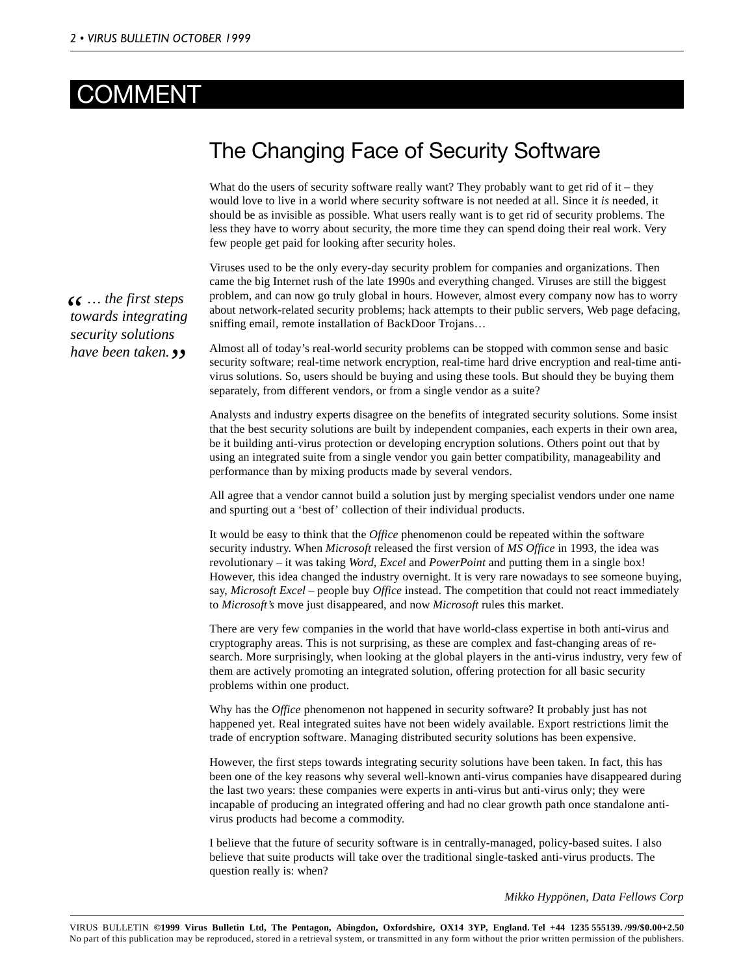## <span id="page-1-0"></span>**COMMENT**

## The Changing Face of Security Software

What do the users of security software really want? They probably want to get rid of it – they would love to live in a world where security software is not needed at all. Since it *is* needed, it should be as invisible as possible. What users really want is to get rid of security problems. The less they have to worry about security, the more time they can spend doing their real work. Very few people get paid for looking after security holes.

Viruses used to be the only every-day security problem for companies and organizations. Then came the big Internet rush of the late 1990s and everything changed. Viruses are still the biggest problem, and can now go truly global in hours. However, almost every company now has to worry about network-related security problems; hack attempts to their public servers, Web page defacing, sniffing email, remote installation of BackDoor Trojans…

Almost all of today's real-world security problems can be stopped with common sense and basic security software; real-time network encryption, real-time hard drive encryption and real-time antivirus solutions. So, users should be buying and using these tools. But should they be buying them separately, from different vendors, or from a single vendor as a suite?

Analysts and industry experts disagree on the benefits of integrated security solutions. Some insist that the best security solutions are built by independent companies, each experts in their own area, be it building anti-virus protection or developing encryption solutions. Others point out that by using an integrated suite from a single vendor you gain better compatibility, manageability and performance than by mixing products made by several vendors.

All agree that a vendor cannot build a solution just by merging specialist vendors under one name and spurting out a 'best of' collection of their individual products.

It would be easy to think that the *Office* phenomenon could be repeated within the software security industry. When *Microsoft* released the first version of *MS Office* in 1993, the idea was revolutionary – it was taking *Word*, *Excel* and *PowerPoint* and putting them in a single box! However, this idea changed the industry overnight. It is very rare nowadays to see someone buying, say, *Microsoft Excel* – people buy *Office* instead. The competition that could not react immediately to *Microsoft's* move just disappeared, and now *Microsoft* rules this market.

There are very few companies in the world that have world-class expertise in both anti-virus and cryptography areas. This is not surprising, as these are complex and fast-changing areas of research. More surprisingly, when looking at the global players in the anti-virus industry, very few of them are actively promoting an integrated solution, offering protection for all basic security problems within one product.

Why has the *Office* phenomenon not happened in security software? It probably just has not happened yet. Real integrated suites have not been widely available. Export restrictions limit the trade of encryption software. Managing distributed security solutions has been expensive.

However, the first steps towards integrating security solutions have been taken. In fact, this has been one of the key reasons why several well-known anti-virus companies have disappeared during the last two years: these companies were experts in anti-virus but anti-virus only; they were incapable of producing an integrated offering and had no clear growth path once standalone antivirus products had become a commodity.

I believe that the future of security software is in centrally-managed, policy-based suites. I also believe that suite products will take over the traditional single-tasked anti-virus products. The question really is: when?

*Mikko Hyppönen, Data Fellows Corp*

**46** ... *the first steps towards integrating towards integrating security solutions have been taken. "*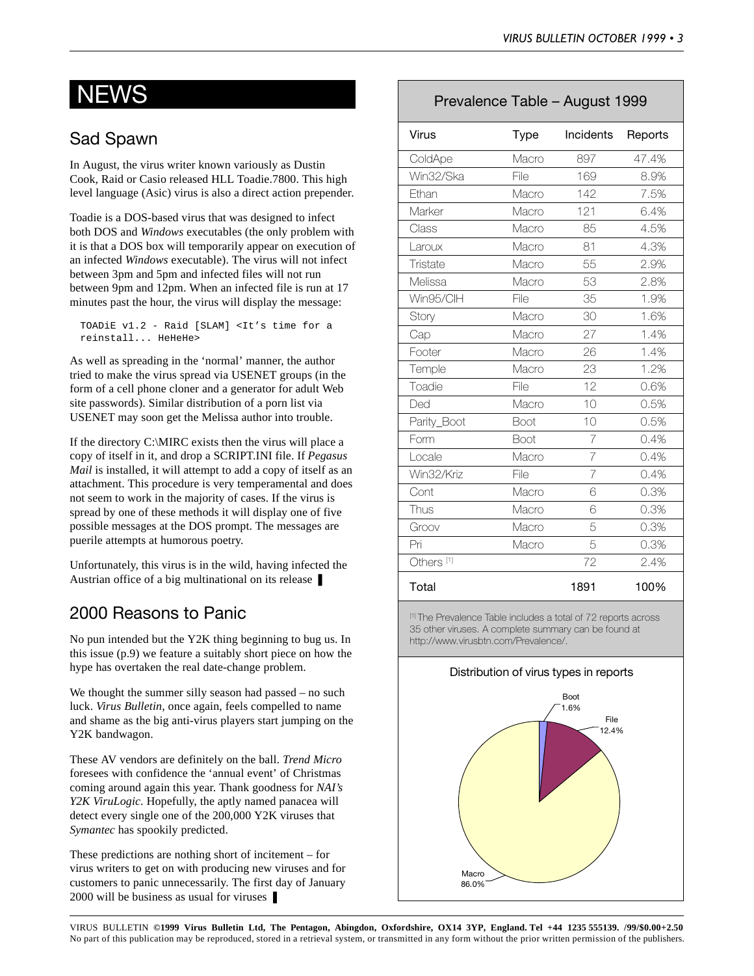# <span id="page-2-0"></span>**NEWS**

## Sad Spawn

In August, the virus writer known variously as Dustin Cook, Raid or Casio released HLL Toadie.7800. This high level language (Asic) virus is also a direct action prepender.

Toadie is a DOS-based virus that was designed to infect both DOS and *Windows* executables (the only problem with it is that a DOS box will temporarily appear on execution of an infected *Windows* executable). The virus will not infect between 3pm and 5pm and infected files will not run between 9pm and 12pm. When an infected file is run at 17 minutes past the hour, the virus will display the message:

TOADiE v1.2 - Raid [SLAM] <It's time for a reinstall... HeHeHe>

As well as spreading in the 'normal' manner, the author tried to make the virus spread via USENET groups (in the form of a cell phone cloner and a generator for adult Web site passwords). Similar distribution of a porn list via USENET may soon get the Melissa author into trouble.

If the directory C:\MIRC exists then the virus will place a copy of itself in it, and drop a SCRIPT.INI file. If *Pegasus Mail* is installed, it will attempt to add a copy of itself as an attachment. This procedure is very temperamental and does not seem to work in the majority of cases. If the virus is spread by one of these methods it will display one of five possible messages at the DOS prompt. The messages are puerile attempts at humorous poetry.

Unfortunately, this virus is in the wild, having infected the Austrian office of a big multinational on its release ❚

## 2000 Reasons to Panic

No pun intended but the Y2K thing beginning to bug us. In this issue (p.9) we feature a suitably short piece on how the hype has overtaken the real date-change problem.

We thought the summer silly season had passed – no such luck. *Virus Bulletin*, once again, feels compelled to name and shame as the big anti-virus players start jumping on the Y2K bandwagon.

These AV vendors are definitely on the ball. *Trend Micro* foresees with confidence the 'annual event' of Christmas coming around again this year. Thank goodness for *NAI's Y2K ViruLogic*. Hopefully, the aptly named panacea will detect every single one of the 200,000 Y2K viruses that *Symantec* has spookily predicted.

These predictions are nothing short of incitement – for virus writers to get on with producing new viruses and for customers to panic unnecessarily. The first day of January 2000 will be business as usual for viruses ❚

## Prevalence Table – August 1999

| Virus                 | <b>Type</b> | <b>Incidents</b> | Reports |
|-----------------------|-------------|------------------|---------|
| ColdApe               | Macro       | 897              | 47.4%   |
| Win32/Ska             | File        | 169              | 8.9%    |
| Ethan                 | Macro       | 142              | 7.5%    |
| Marker                | Macro       | 121              | 6.4%    |
| Class                 | Macro       | 85               | 4.5%    |
| Laroux                | Macro       | 81               | 4.3%    |
| Tristate              | Macro       | 55               | 2.9%    |
| Melissa               | Macro       | 53               | 2.8%    |
| Win95/ClH             | File        | 35               | 1.9%    |
| Story                 | Macro       | 30               | 1.6%    |
| Cap                   | Macro       | 27               | 1.4%    |
| Footer                | Macro       | 26               | 1.4%    |
| Temple                | Macro       | 23               | 1.2%    |
| Toadie                | File        | 12               | 0.6%    |
| Ded                   | Macro       | 10               | 0.5%    |
| Parity_Boot           | Boot        | 10               | 0.5%    |
| Form                  | Boot        | 7                | 0.4%    |
| Locale                | Macro       | 7                | 0.4%    |
| Win32/Kriz            | File        | $\overline{7}$   | 0.4%    |
| Cont                  | Macro       | 6                | 0.3%    |
| Thus                  | Macro       | 6                | 0.3%    |
| Groov                 | Macro       | 5                | 0.3%    |
| Pri                   | Macro       | 5                | 0.3%    |
| Others <sup>[1]</sup> |             | 72               | 2.4%    |
| Total                 |             | 1891             | 100%    |

[1] The Prevalence Table includes a total of 72 reports across 35 other viruses. A complete summary can be found at http://www.virusbtn.com/Prevalence/.

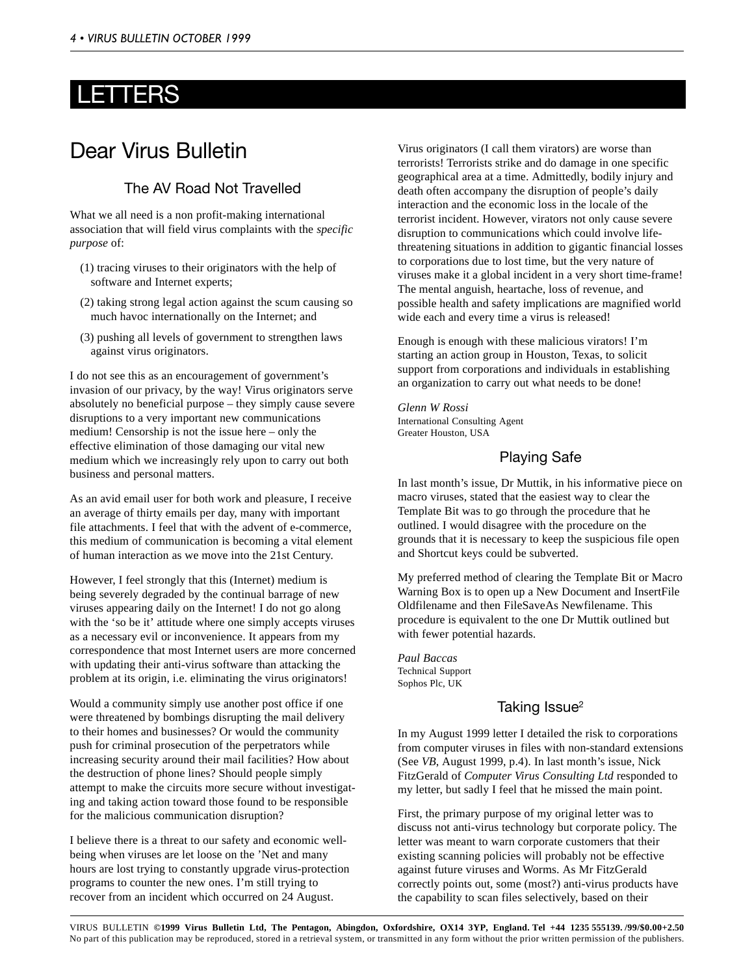## <span id="page-3-0"></span>LETTERS

## Dear Virus Bulletin

## The AV Road Not Travelled

What we all need is a non profit-making international association that will field virus complaints with the *specific purpose* of:

- (1) tracing viruses to their originators with the help of software and Internet experts;
- (2) taking strong legal action against the scum causing so much havoc internationally on the Internet; and
- (3) pushing all levels of government to strengthen laws against virus originators.

I do not see this as an encouragement of government's invasion of our privacy, by the way! Virus originators serve absolutely no beneficial purpose – they simply cause severe disruptions to a very important new communications medium! Censorship is not the issue here – only the effective elimination of those damaging our vital new medium which we increasingly rely upon to carry out both business and personal matters.

As an avid email user for both work and pleasure, I receive an average of thirty emails per day, many with important file attachments. I feel that with the advent of e-commerce, this medium of communication is becoming a vital element of human interaction as we move into the 21st Century.

However, I feel strongly that this (Internet) medium is being severely degraded by the continual barrage of new viruses appearing daily on the Internet! I do not go along with the 'so be it' attitude where one simply accepts viruses as a necessary evil or inconvenience. It appears from my correspondence that most Internet users are more concerned with updating their anti-virus software than attacking the problem at its origin, i.e. eliminating the virus originators!

Would a community simply use another post office if one were threatened by bombings disrupting the mail delivery to their homes and businesses? Or would the community push for criminal prosecution of the perpetrators while increasing security around their mail facilities? How about the destruction of phone lines? Should people simply attempt to make the circuits more secure without investigating and taking action toward those found to be responsible for the malicious communication disruption?

I believe there is a threat to our safety and economic wellbeing when viruses are let loose on the 'Net and many hours are lost trying to constantly upgrade virus-protection programs to counter the new ones. I'm still trying to recover from an incident which occurred on 24 August.

Virus originators (I call them virators) are worse than terrorists! Terrorists strike and do damage in one specific geographical area at a time. Admittedly, bodily injury and death often accompany the disruption of people's daily interaction and the economic loss in the locale of the terrorist incident. However, virators not only cause severe disruption to communications which could involve lifethreatening situations in addition to gigantic financial losses to corporations due to lost time, but the very nature of viruses make it a global incident in a very short time-frame! The mental anguish, heartache, loss of revenue, and possible health and safety implications are magnified world wide each and every time a virus is released!

Enough is enough with these malicious virators! I'm starting an action group in Houston, Texas, to solicit support from corporations and individuals in establishing an organization to carry out what needs to be done!

*Glenn W Rossi* International Consulting Agent Greater Houston, USA

## Playing Safe

In last month's issue, Dr Muttik, in his informative piece on macro viruses, stated that the easiest way to clear the Template Bit was to go through the procedure that he outlined. I would disagree with the procedure on the grounds that it is necessary to keep the suspicious file open and Shortcut keys could be subverted.

My preferred method of clearing the Template Bit or Macro Warning Box is to open up a New Document and InsertFile Oldfilename and then FileSaveAs Newfilename. This procedure is equivalent to the one Dr Muttik outlined but with fewer potential hazards.

*Paul Baccas* Technical Support Sophos Plc, UK

## Taking Issue<sup>2</sup>

In my August 1999 letter I detailed the risk to corporations from computer viruses in files with non-standard extensions (See *VB*, August 1999, p.4). In last month's issue, Nick FitzGerald of *Computer Virus Consulting Ltd* responded to my letter, but sadly I feel that he missed the main point.

First, the primary purpose of my original letter was to discuss not anti-virus technology but corporate policy. The letter was meant to warn corporate customers that their existing scanning policies will probably not be effective against future viruses and Worms. As Mr FitzGerald correctly points out, some (most?) anti-virus products have the capability to scan files selectively, based on their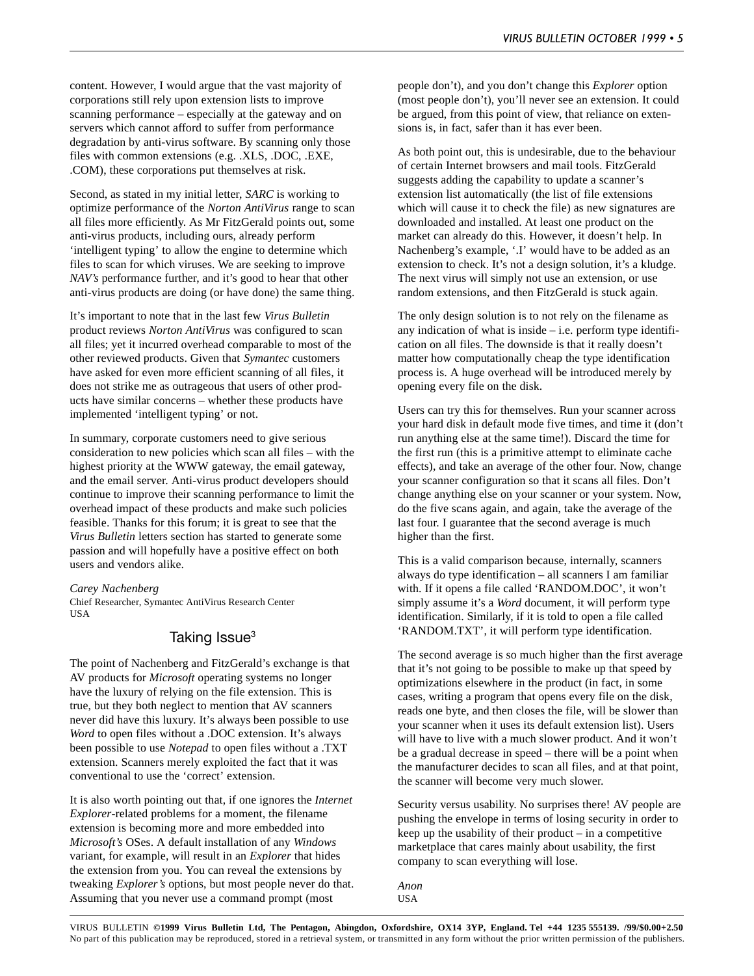content. However, I would argue that the vast majority of corporations still rely upon extension lists to improve scanning performance – especially at the gateway and on servers which cannot afford to suffer from performance degradation by anti-virus software. By scanning only those files with common extensions (e.g. .XLS, .DOC, .EXE, .COM), these corporations put themselves at risk.

Second, as stated in my initial letter, *SARC* is working to optimize performance of the *Norton AntiVirus* range to scan all files more efficiently. As Mr FitzGerald points out, some anti-virus products, including ours, already perform 'intelligent typing' to allow the engine to determine which files to scan for which viruses. We are seeking to improve *NAV's* performance further, and it's good to hear that other anti-virus products are doing (or have done) the same thing.

It's important to note that in the last few *Virus Bulletin* product reviews *Norton AntiVirus* was configured to scan all files; yet it incurred overhead comparable to most of the other reviewed products. Given that *Symantec* customers have asked for even more efficient scanning of all files, it does not strike me as outrageous that users of other products have similar concerns – whether these products have implemented 'intelligent typing' or not.

In summary, corporate customers need to give serious consideration to new policies which scan all files – with the highest priority at the WWW gateway, the email gateway, and the email server. Anti-virus product developers should continue to improve their scanning performance to limit the overhead impact of these products and make such policies feasible. Thanks for this forum; it is great to see that the *Virus Bulletin* letters section has started to generate some passion and will hopefully have a positive effect on both users and vendors alike.

#### *Carey Nachenberg*

Chief Researcher, Symantec AntiVirus Research Center USA

## Taking Issue<sup>3</sup>

The point of Nachenberg and FitzGerald's exchange is that AV products for *Microsoft* operating systems no longer have the luxury of relying on the file extension. This is true, but they both neglect to mention that AV scanners never did have this luxury. It's always been possible to use *Word* to open files without a .DOC extension. It's always been possible to use *Notepad* to open files without a .TXT extension. Scanners merely exploited the fact that it was conventional to use the 'correct' extension.

It is also worth pointing out that, if one ignores the *Internet Explorer*-related problems for a moment, the filename extension is becoming more and more embedded into *Microsoft's* OSes. A default installation of any *Windows* variant, for example, will result in an *Explorer* that hides the extension from you. You can reveal the extensions by tweaking *Explorer's* options, but most people never do that. Assuming that you never use a command prompt (most

people don't), and you don't change this *Explorer* option (most people don't), you'll never see an extension. It could be argued, from this point of view, that reliance on extensions is, in fact, safer than it has ever been.

As both point out, this is undesirable, due to the behaviour of certain Internet browsers and mail tools. FitzGerald suggests adding the capability to update a scanner's extension list automatically (the list of file extensions which will cause it to check the file) as new signatures are downloaded and installed. At least one product on the market can already do this. However, it doesn't help. In Nachenberg's example, '.I' would have to be added as an extension to check. It's not a design solution, it's a kludge. The next virus will simply not use an extension, or use random extensions, and then FitzGerald is stuck again.

The only design solution is to not rely on the filename as any indication of what is inside – i.e. perform type identification on all files. The downside is that it really doesn't matter how computationally cheap the type identification process is. A huge overhead will be introduced merely by opening every file on the disk.

Users can try this for themselves. Run your scanner across your hard disk in default mode five times, and time it (don't run anything else at the same time!). Discard the time for the first run (this is a primitive attempt to eliminate cache effects), and take an average of the other four. Now, change your scanner configuration so that it scans all files. Don't change anything else on your scanner or your system. Now, do the five scans again, and again, take the average of the last four. I guarantee that the second average is much higher than the first.

This is a valid comparison because, internally, scanners always do type identification – all scanners I am familiar with. If it opens a file called 'RANDOM.DOC', it won't simply assume it's a *Word* document, it will perform type identification. Similarly, if it is told to open a file called 'RANDOM.TXT', it will perform type identification.

The second average is so much higher than the first average that it's not going to be possible to make up that speed by optimizations elsewhere in the product (in fact, in some cases, writing a program that opens every file on the disk, reads one byte, and then closes the file, will be slower than your scanner when it uses its default extension list). Users will have to live with a much slower product. And it won't be a gradual decrease in speed – there will be a point when the manufacturer decides to scan all files, and at that point, the scanner will become very much slower.

Security versus usability. No surprises there! AV people are pushing the envelope in terms of losing security in order to keep up the usability of their product – in a competitive marketplace that cares mainly about usability, the first company to scan everything will lose.

*Anon* USA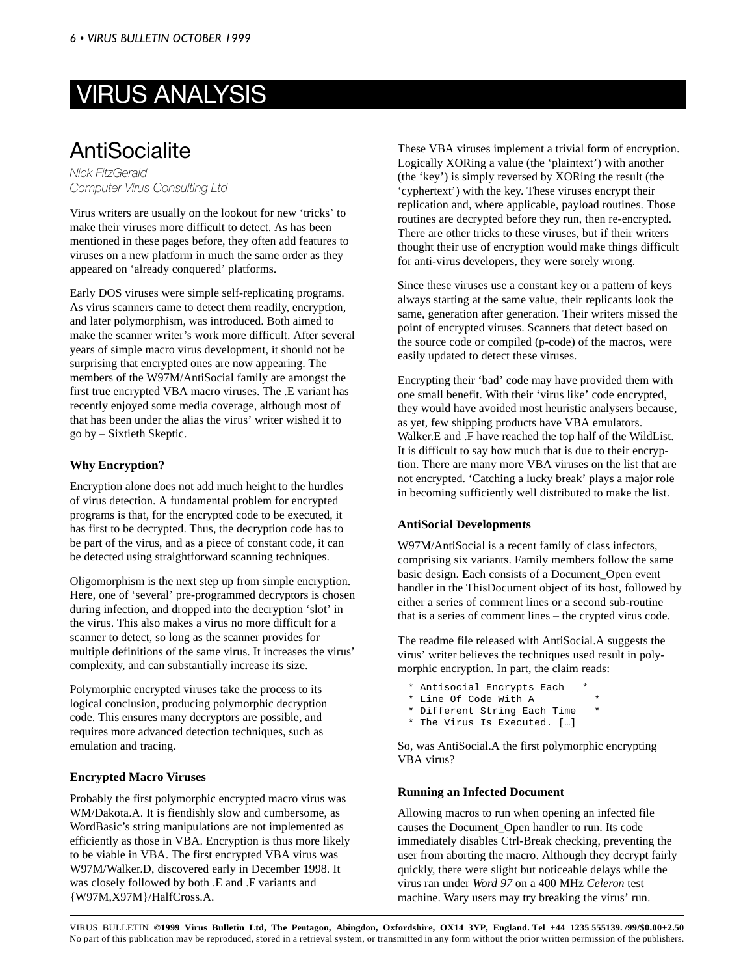# <span id="page-5-0"></span>VIRUS ANALYSIS

## **AntiSocialite**

*Nick FitzGerald Computer Virus Consulting Ltd*

Virus writers are usually on the lookout for new 'tricks' to make their viruses more difficult to detect. As has been mentioned in these pages before, they often add features to viruses on a new platform in much the same order as they appeared on 'already conquered' platforms.

Early DOS viruses were simple self-replicating programs. As virus scanners came to detect them readily, encryption, and later polymorphism, was introduced. Both aimed to make the scanner writer's work more difficult. After several years of simple macro virus development, it should not be surprising that encrypted ones are now appearing. The members of the W97M/AntiSocial family are amongst the first true encrypted VBA macro viruses. The .E variant has recently enjoyed some media coverage, although most of that has been under the alias the virus' writer wished it to go by – Sixtieth Skeptic.

## **Why Encryption?**

Encryption alone does not add much height to the hurdles of virus detection. A fundamental problem for encrypted programs is that, for the encrypted code to be executed, it has first to be decrypted. Thus, the decryption code has to be part of the virus, and as a piece of constant code, it can be detected using straightforward scanning techniques.

Oligomorphism is the next step up from simple encryption. Here, one of 'several' pre-programmed decryptors is chosen during infection, and dropped into the decryption 'slot' in the virus. This also makes a virus no more difficult for a scanner to detect, so long as the scanner provides for multiple definitions of the same virus. It increases the virus' complexity, and can substantially increase its size.

Polymorphic encrypted viruses take the process to its logical conclusion, producing polymorphic decryption code. This ensures many decryptors are possible, and requires more advanced detection techniques, such as emulation and tracing.

## **Encrypted Macro Viruses**

Probably the first polymorphic encrypted macro virus was WM/Dakota.A. It is fiendishly slow and cumbersome, as WordBasic's string manipulations are not implemented as efficiently as those in VBA. Encryption is thus more likely to be viable in VBA. The first encrypted VBA virus was W97M/Walker.D, discovered early in December 1998. It was closely followed by both .E and .F variants and {W97M,X97M}/HalfCross.A.

These VBA viruses implement a trivial form of encryption. Logically XORing a value (the 'plaintext') with another (the 'key') is simply reversed by XORing the result (the 'cyphertext') with the key. These viruses encrypt their replication and, where applicable, payload routines. Those routines are decrypted before they run, then re-encrypted. There are other tricks to these viruses, but if their writers thought their use of encryption would make things difficult for anti-virus developers, they were sorely wrong.

Since these viruses use a constant key or a pattern of keys always starting at the same value, their replicants look the same, generation after generation. Their writers missed the point of encrypted viruses. Scanners that detect based on the source code or compiled (p-code) of the macros, were easily updated to detect these viruses.

Encrypting their 'bad' code may have provided them with one small benefit. With their 'virus like' code encrypted, they would have avoided most heuristic analysers because, as yet, few shipping products have VBA emulators. Walker.E and .F have reached the top half of the WildList. It is difficult to say how much that is due to their encryption. There are many more VBA viruses on the list that are not encrypted. 'Catching a lucky break' plays a major role in becoming sufficiently well distributed to make the list.

### **AntiSocial Developments**

W97M/AntiSocial is a recent family of class infectors, comprising six variants. Family members follow the same basic design. Each consists of a Document\_Open event handler in the ThisDocument object of its host, followed by either a series of comment lines or a second sub-routine that is a series of comment lines – the crypted virus code.

The readme file released with AntiSocial.A suggests the virus' writer believes the techniques used result in polymorphic encryption. In part, the claim reads:

- \* Antisocial Encrypts Each \*
- \* Line Of Code With A \*
- \* Different String Each Time
- \* The Virus Is Executed. […]

So, was AntiSocial.A the first polymorphic encrypting VBA virus?

### **Running an Infected Document**

Allowing macros to run when opening an infected file causes the Document\_Open handler to run. Its code immediately disables Ctrl-Break checking, preventing the user from aborting the macro. Although they decrypt fairly quickly, there were slight but noticeable delays while the virus ran under *Word 97* on a 400 MHz *Celeron* test machine. Wary users may try breaking the virus' run.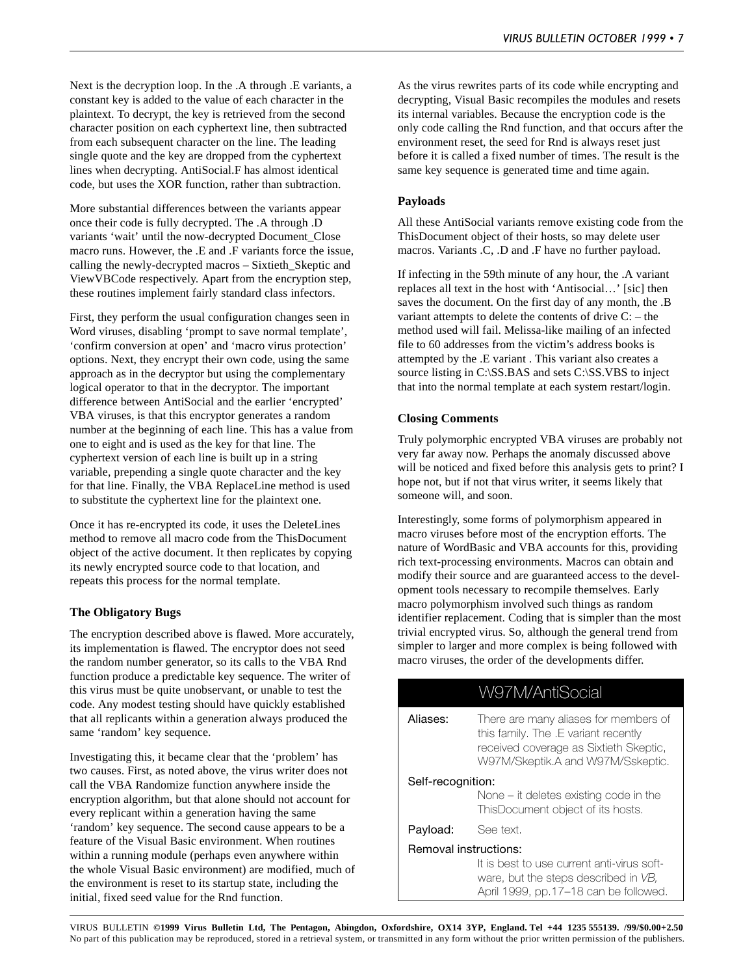Next is the decryption loop. In the .A through .E variants, a constant key is added to the value of each character in the plaintext. To decrypt, the key is retrieved from the second character position on each cyphertext line, then subtracted from each subsequent character on the line. The leading single quote and the key are dropped from the cyphertext lines when decrypting. AntiSocial.F has almost identical code, but uses the XOR function, rather than subtraction.

More substantial differences between the variants appear once their code is fully decrypted. The .A through .D variants 'wait' until the now-decrypted Document\_Close macro runs. However, the .E and .F variants force the issue, calling the newly-decrypted macros – Sixtieth\_Skeptic and ViewVBCode respectively. Apart from the encryption step, these routines implement fairly standard class infectors.

First, they perform the usual configuration changes seen in Word viruses, disabling 'prompt to save normal template', 'confirm conversion at open' and 'macro virus protection' options. Next, they encrypt their own code, using the same approach as in the decryptor but using the complementary logical operator to that in the decryptor. The important difference between AntiSocial and the earlier 'encrypted' VBA viruses, is that this encryptor generates a random number at the beginning of each line. This has a value from one to eight and is used as the key for that line. The cyphertext version of each line is built up in a string variable, prepending a single quote character and the key for that line. Finally, the VBA ReplaceLine method is used to substitute the cyphertext line for the plaintext one.

Once it has re-encrypted its code, it uses the DeleteLines method to remove all macro code from the ThisDocument object of the active document. It then replicates by copying its newly encrypted source code to that location, and repeats this process for the normal template.

### **The Obligatory Bugs**

The encryption described above is flawed. More accurately, its implementation is flawed. The encryptor does not seed the random number generator, so its calls to the VBA Rnd function produce a predictable key sequence. The writer of this virus must be quite unobservant, or unable to test the code. Any modest testing should have quickly established that all replicants within a generation always produced the same 'random' key sequence.

Investigating this, it became clear that the 'problem' has two causes. First, as noted above, the virus writer does not call the VBA Randomize function anywhere inside the encryption algorithm, but that alone should not account for every replicant within a generation having the same 'random' key sequence. The second cause appears to be a feature of the Visual Basic environment. When routines within a running module (perhaps even anywhere within the whole Visual Basic environment) are modified, much of the environment is reset to its startup state, including the initial, fixed seed value for the Rnd function.

As the virus rewrites parts of its code while encrypting and decrypting, Visual Basic recompiles the modules and resets its internal variables. Because the encryption code is the only code calling the Rnd function, and that occurs after the environment reset, the seed for Rnd is always reset just before it is called a fixed number of times. The result is the same key sequence is generated time and time again.

#### **Payloads**

All these AntiSocial variants remove existing code from the ThisDocument object of their hosts, so may delete user macros. Variants .C, .D and .F have no further payload.

If infecting in the 59th minute of any hour, the .A variant replaces all text in the host with 'Antisocial…' [sic] then saves the document. On the first day of any month, the .B variant attempts to delete the contents of drive C: – the method used will fail. Melissa-like mailing of an infected file to 60 addresses from the victim's address books is attempted by the .E variant . This variant also creates a source listing in C:\SS.BAS and sets C:\SS.VBS to inject that into the normal template at each system restart/login.

#### **Closing Comments**

Truly polymorphic encrypted VBA viruses are probably not very far away now. Perhaps the anomaly discussed above will be noticed and fixed before this analysis gets to print? I hope not, but if not that virus writer, it seems likely that someone will, and soon.

Interestingly, some forms of polymorphism appeared in macro viruses before most of the encryption efforts. The nature of WordBasic and VBA accounts for this, providing rich text-processing environments. Macros can obtain and modify their source and are guaranteed access to the development tools necessary to recompile themselves. Early macro polymorphism involved such things as random identifier replacement. Coding that is simpler than the most trivial encrypted virus. So, although the general trend from simpler to larger and more complex is being followed with macro viruses, the order of the developments differ.

|                       | W97M/AntiSocial                                                                                                                                              |  |
|-----------------------|--------------------------------------------------------------------------------------------------------------------------------------------------------------|--|
| Aliases:              | There are many aliases for members of<br>this family. The .E variant recently<br>received coverage as Sixtieth Skeptic,<br>W97M/Skeptik.A and W97M/Sskeptic. |  |
| Self-recognition:     |                                                                                                                                                              |  |
|                       | None – it deletes existing code in the<br>ThisDocument object of its hosts.                                                                                  |  |
| Payload:              | See text.                                                                                                                                                    |  |
| Removal instructions: |                                                                                                                                                              |  |
|                       | It is best to use current anti-virus soft-                                                                                                                   |  |
|                       | ware, but the steps described in VB,<br>April 1999, pp.17–18 can be followed.                                                                                |  |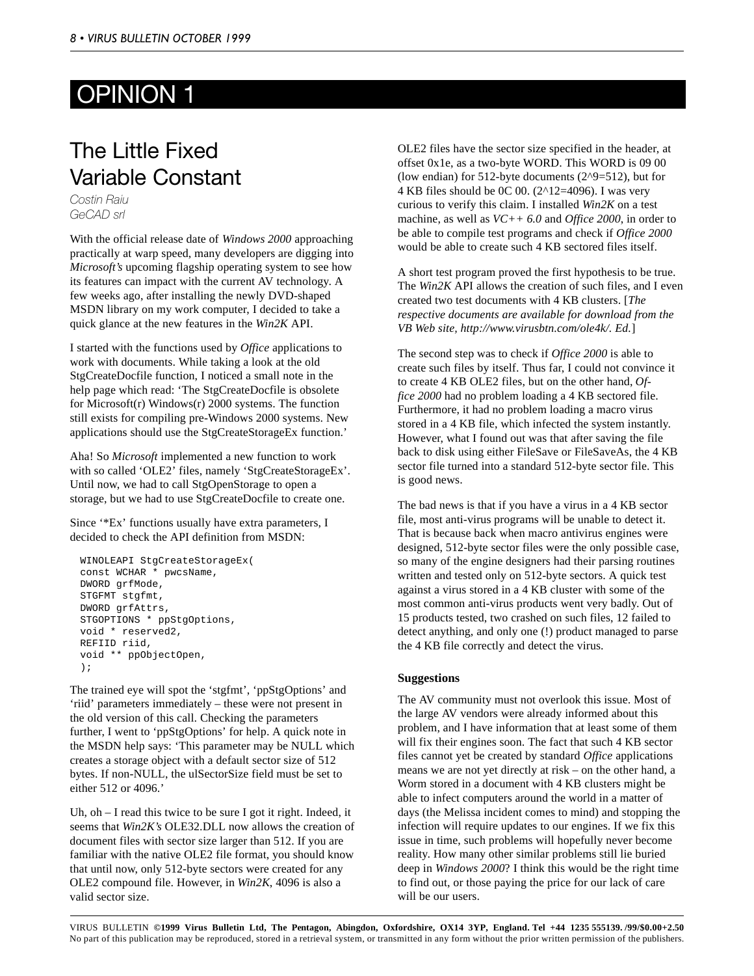# <span id="page-7-0"></span>OPINION 1

## The Little Fixed Variable Constant

*Costin Raiu GeCAD srl*

With the official release date of *Windows 2000* approaching practically at warp speed, many developers are digging into *Microsoft's* upcoming flagship operating system to see how its features can impact with the current AV technology. A few weeks ago, after installing the newly DVD-shaped MSDN library on my work computer, I decided to take a quick glance at the new features in the *Win2K* API.

I started with the functions used by *Office* applications to work with documents. While taking a look at the old StgCreateDocfile function, I noticed a small note in the help page which read: 'The StgCreateDocfile is obsolete for Microsoft(r) Windows(r) 2000 systems. The function still exists for compiling pre-Windows 2000 systems. New applications should use the StgCreateStorageEx function.'

Aha! So *Microsoft* implemented a new function to work with so called 'OLE2' files, namely 'StgCreateStorageEx'. Until now, we had to call StgOpenStorage to open a storage, but we had to use StgCreateDocfile to create one.

Since '\*Ex' functions usually have extra parameters, I decided to check the API definition from MSDN:

```
WINOLEAPI StgCreateStorageEx(
const WCHAR * pwcsName,
DWORD grfMode,
STGFMT stgfmt,
DWORD grfAttrs,
STGOPTIONS * ppStgOptions,
void * reserved2,
REFIID riid,
void ** ppObjectOpen,
);
```
The trained eye will spot the 'stgfmt', 'ppStgOptions' and 'riid' parameters immediately – these were not present in the old version of this call. Checking the parameters further, I went to 'ppStgOptions' for help. A quick note in the MSDN help says: 'This parameter may be NULL which creates a storage object with a default sector size of 512 bytes. If non-NULL, the ulSectorSize field must be set to either 512 or 4096.'

Uh, oh – I read this twice to be sure I got it right. Indeed, it seems that *Win2K's* OLE32.DLL now allows the creation of document files with sector size larger than 512. If you are familiar with the native OLE2 file format, you should know that until now, only 512-byte sectors were created for any OLE2 compound file. However, in *Win2K*, 4096 is also a valid sector size.

OLE2 files have the sector size specified in the header, at offset 0x1e, as a two-byte WORD. This WORD is 09 00 (low endian) for 512-byte documents (2^9=512), but for 4 KB files should be 0C 00. (2^12=4096). I was very curious to verify this claim. I installed *Win2K* on a test machine, as well as *VC++ 6.0* and *Office 2000*, in order to be able to compile test programs and check if *Office 2000* would be able to create such 4 KB sectored files itself.

A short test program proved the first hypothesis to be true. The *Win2K* API allows the creation of such files, and I even created two test documents with 4 KB clusters. [*The respective documents are available for download from the VB Web site, http://www.virusbtn.com/ole4k/. Ed.*]

The second step was to check if *Office 2000* is able to create such files by itself. Thus far, I could not convince it to create 4 KB OLE2 files, but on the other hand, *Office 2000* had no problem loading a 4 KB sectored file. Furthermore, it had no problem loading a macro virus stored in a 4 KB file, which infected the system instantly. However, what I found out was that after saving the file back to disk using either FileSave or FileSaveAs, the 4 KB sector file turned into a standard 512-byte sector file. This is good news.

The bad news is that if you have a virus in a 4 KB sector file, most anti-virus programs will be unable to detect it. That is because back when macro antivirus engines were designed, 512-byte sector files were the only possible case, so many of the engine designers had their parsing routines written and tested only on 512-byte sectors. A quick test against a virus stored in a 4 KB cluster with some of the most common anti-virus products went very badly. Out of 15 products tested, two crashed on such files, 12 failed to detect anything, and only one (!) product managed to parse the 4 KB file correctly and detect the virus.

### **Suggestions**

The AV community must not overlook this issue. Most of the large AV vendors were already informed about this problem, and I have information that at least some of them will fix their engines soon. The fact that such 4 KB sector files cannot yet be created by standard *Office* applications means we are not yet directly at risk – on the other hand, a Worm stored in a document with 4 KB clusters might be able to infect computers around the world in a matter of days (the Melissa incident comes to mind) and stopping the infection will require updates to our engines. If we fix this issue in time, such problems will hopefully never become reality. How many other similar problems still lie buried deep in *Windows 2000*? I think this would be the right time to find out, or those paying the price for our lack of care will be our users.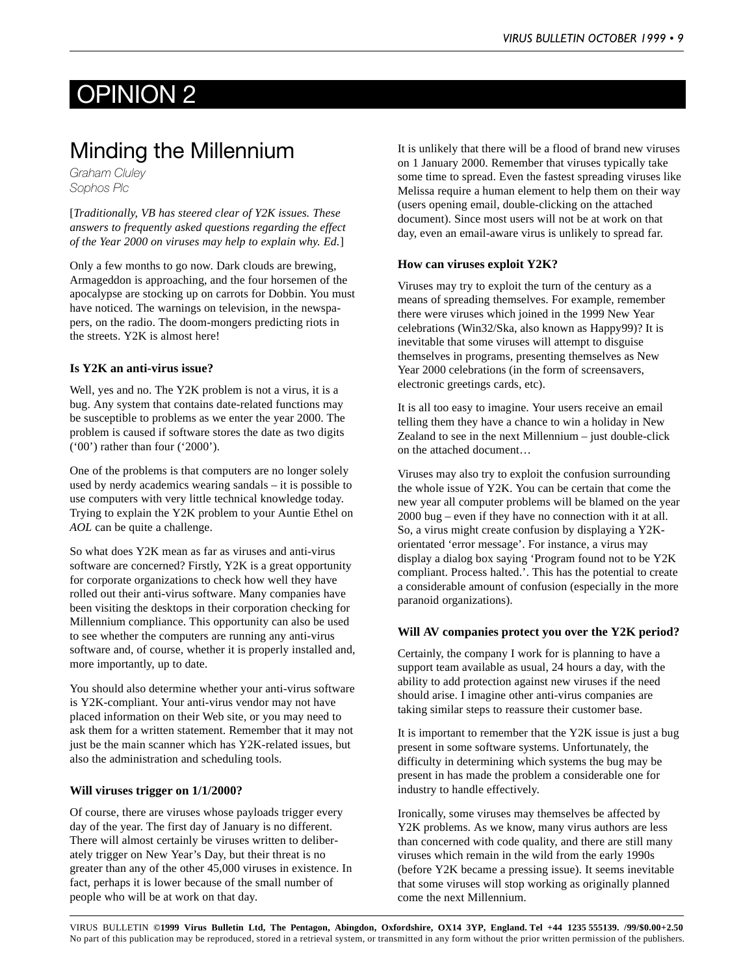# <span id="page-8-0"></span>OPINION 2

## Minding the Millennium

*Graham Cluley Sophos Plc*

[*Traditionally, VB has steered clear of Y2K issues. These answers to frequently asked questions regarding the effect of the Year 2000 on viruses may help to explain why. Ed.*]

Only a few months to go now. Dark clouds are brewing, Armageddon is approaching, and the four horsemen of the apocalypse are stocking up on carrots for Dobbin. You must have noticed. The warnings on television, in the newspapers, on the radio. The doom-mongers predicting riots in the streets. Y2K is almost here!

### **Is Y2K an anti-virus issue?**

Well, yes and no. The Y2K problem is not a virus, it is a bug. Any system that contains date-related functions may be susceptible to problems as we enter the year 2000. The problem is caused if software stores the date as two digits ('00') rather than four ('2000').

One of the problems is that computers are no longer solely used by nerdy academics wearing sandals – it is possible to use computers with very little technical knowledge today. Trying to explain the Y2K problem to your Auntie Ethel on *AOL* can be quite a challenge.

So what does Y2K mean as far as viruses and anti-virus software are concerned? Firstly, Y2K is a great opportunity for corporate organizations to check how well they have rolled out their anti-virus software. Many companies have been visiting the desktops in their corporation checking for Millennium compliance. This opportunity can also be used to see whether the computers are running any anti-virus software and, of course, whether it is properly installed and, more importantly, up to date.

You should also determine whether your anti-virus software is Y2K-compliant. Your anti-virus vendor may not have placed information on their Web site, or you may need to ask them for a written statement. Remember that it may not just be the main scanner which has Y2K-related issues, but also the administration and scheduling tools.

#### **Will viruses trigger on 1/1/2000?**

Of course, there are viruses whose payloads trigger every day of the year. The first day of January is no different. There will almost certainly be viruses written to deliberately trigger on New Year's Day, but their threat is no greater than any of the other 45,000 viruses in existence. In fact, perhaps it is lower because of the small number of people who will be at work on that day.

It is unlikely that there will be a flood of brand new viruses on 1 January 2000. Remember that viruses typically take some time to spread. Even the fastest spreading viruses like Melissa require a human element to help them on their way (users opening email, double-clicking on the attached document). Since most users will not be at work on that day, even an email-aware virus is unlikely to spread far.

### **How can viruses exploit Y2K?**

Viruses may try to exploit the turn of the century as a means of spreading themselves. For example, remember there were viruses which joined in the 1999 New Year celebrations (Win32/Ska, also known as Happy99)? It is inevitable that some viruses will attempt to disguise themselves in programs, presenting themselves as New Year 2000 celebrations (in the form of screensavers, electronic greetings cards, etc).

It is all too easy to imagine. Your users receive an email telling them they have a chance to win a holiday in New Zealand to see in the next Millennium – just double-click on the attached document…

Viruses may also try to exploit the confusion surrounding the whole issue of Y2K. You can be certain that come the new year all computer problems will be blamed on the year 2000 bug – even if they have no connection with it at all. So, a virus might create confusion by displaying a Y2Korientated 'error message'. For instance, a virus may display a dialog box saying 'Program found not to be Y2K compliant. Process halted.'. This has the potential to create a considerable amount of confusion (especially in the more paranoid organizations).

#### **Will AV companies protect you over the Y2K period?**

Certainly, the company I work for is planning to have a support team available as usual, 24 hours a day, with the ability to add protection against new viruses if the need should arise. I imagine other anti-virus companies are taking similar steps to reassure their customer base.

It is important to remember that the Y2K issue is just a bug present in some software systems. Unfortunately, the difficulty in determining which systems the bug may be present in has made the problem a considerable one for industry to handle effectively.

Ironically, some viruses may themselves be affected by Y2K problems. As we know, many virus authors are less than concerned with code quality, and there are still many viruses which remain in the wild from the early 1990s (before Y2K became a pressing issue). It seems inevitable that some viruses will stop working as originally planned come the next Millennium.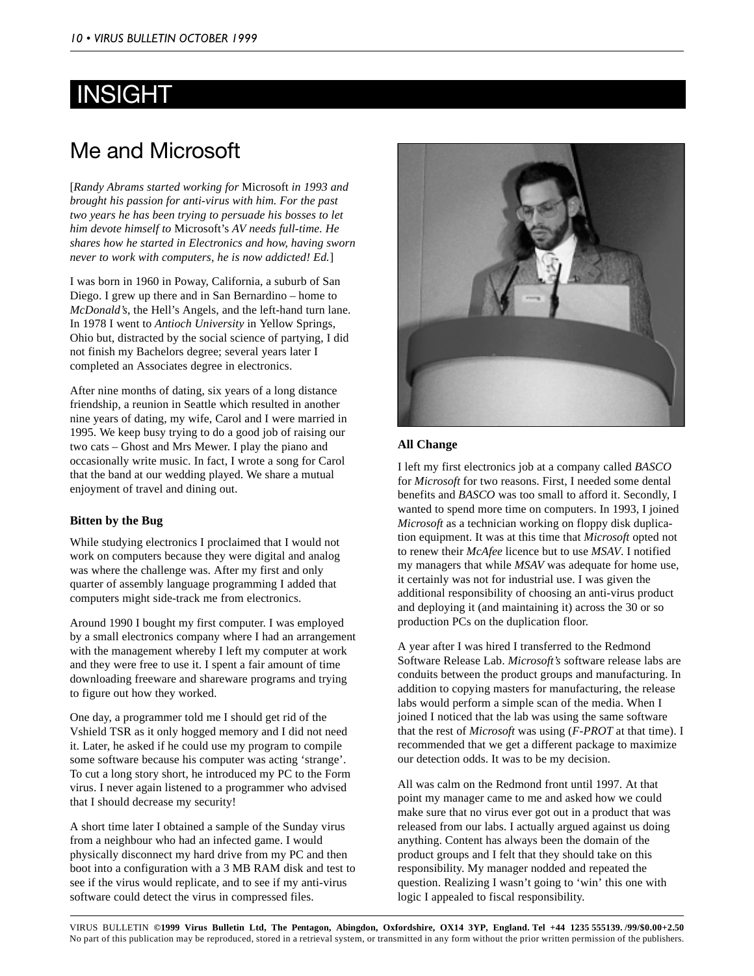# <span id="page-9-0"></span>INSIGHT

## Me and Microsoft

[*Randy Abrams started working for* Microsoft *in 1993 and brought his passion for anti-virus with him. For the past two years he has been trying to persuade his bosses to let him devote himself to* Microsoft's *AV needs full-time. He shares how he started in Electronics and how, having sworn never to work with computers, he is now addicted! Ed.*]

I was born in 1960 in Poway, California, a suburb of San Diego. I grew up there and in San Bernardino – home to *McDonald's*, the Hell's Angels, and the left-hand turn lane. In 1978 I went to *Antioch University* in Yellow Springs, Ohio but, distracted by the social science of partying, I did not finish my Bachelors degree; several years later I completed an Associates degree in electronics.

After nine months of dating, six years of a long distance friendship, a reunion in Seattle which resulted in another nine years of dating, my wife, Carol and I were married in 1995. We keep busy trying to do a good job of raising our two cats – Ghost and Mrs Mewer. I play the piano and occasionally write music. In fact, I wrote a song for Carol that the band at our wedding played. We share a mutual enjoyment of travel and dining out.

## **Bitten by the Bug**

While studying electronics I proclaimed that I would not work on computers because they were digital and analog was where the challenge was. After my first and only quarter of assembly language programming I added that computers might side-track me from electronics.

Around 1990 I bought my first computer. I was employed by a small electronics company where I had an arrangement with the management whereby I left my computer at work and they were free to use it. I spent a fair amount of time downloading freeware and shareware programs and trying to figure out how they worked.

One day, a programmer told me I should get rid of the Vshield TSR as it only hogged memory and I did not need it. Later, he asked if he could use my program to compile some software because his computer was acting 'strange'. To cut a long story short, he introduced my PC to the Form virus. I never again listened to a programmer who advised that I should decrease my security!

A short time later I obtained a sample of the Sunday virus from a neighbour who had an infected game. I would physically disconnect my hard drive from my PC and then boot into a configuration with a 3 MB RAM disk and test to see if the virus would replicate, and to see if my anti-virus software could detect the virus in compressed files.



## **All Change**

I left my first electronics job at a company called *BASCO* for *Microsoft* for two reasons. First, I needed some dental benefits and *BASCO* was too small to afford it. Secondly, I wanted to spend more time on computers. In 1993, I joined *Microsoft* as a technician working on floppy disk duplication equipment. It was at this time that *Microsoft* opted not to renew their *McAfee* licence but to use *MSAV*. I notified my managers that while *MSAV* was adequate for home use, it certainly was not for industrial use. I was given the additional responsibility of choosing an anti-virus product and deploying it (and maintaining it) across the 30 or so production PCs on the duplication floor.

A year after I was hired I transferred to the Redmond Software Release Lab. *Microsoft's* software release labs are conduits between the product groups and manufacturing. In addition to copying masters for manufacturing, the release labs would perform a simple scan of the media. When I joined I noticed that the lab was using the same software that the rest of *Microsoft* was using (*F-PROT* at that time). I recommended that we get a different package to maximize our detection odds. It was to be my decision.

All was calm on the Redmond front until 1997. At that point my manager came to me and asked how we could make sure that no virus ever got out in a product that was released from our labs. I actually argued against us doing anything. Content has always been the domain of the product groups and I felt that they should take on this responsibility. My manager nodded and repeated the question. Realizing I wasn't going to 'win' this one with logic I appealed to fiscal responsibility.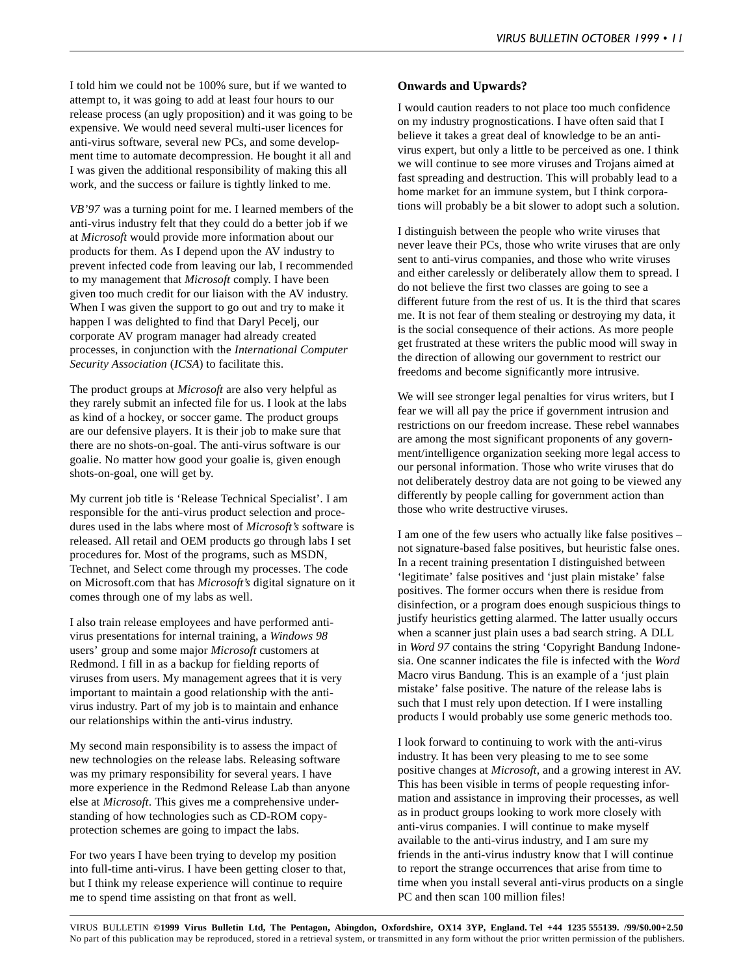I told him we could not be 100% sure, but if we wanted to attempt to, it was going to add at least four hours to our release process (an ugly proposition) and it was going to be expensive. We would need several multi-user licences for anti-virus software, several new PCs, and some development time to automate decompression. He bought it all and I was given the additional responsibility of making this all work, and the success or failure is tightly linked to me.

*VB'97* was a turning point for me. I learned members of the anti-virus industry felt that they could do a better job if we at *Microsoft* would provide more information about our products for them. As I depend upon the AV industry to prevent infected code from leaving our lab, I recommended to my management that *Microsoft* comply. I have been given too much credit for our liaison with the AV industry. When I was given the support to go out and try to make it happen I was delighted to find that Daryl Pecelj, our corporate AV program manager had already created processes, in conjunction with the *International Computer Security Association* (*ICSA*) to facilitate this.

The product groups at *Microsoft* are also very helpful as they rarely submit an infected file for us. I look at the labs as kind of a hockey, or soccer game. The product groups are our defensive players. It is their job to make sure that there are no shots-on-goal. The anti-virus software is our goalie. No matter how good your goalie is, given enough shots-on-goal, one will get by.

My current job title is 'Release Technical Specialist'. I am responsible for the anti-virus product selection and procedures used in the labs where most of *Microsoft's* software is released. All retail and OEM products go through labs I set procedures for. Most of the programs, such as MSDN, Technet, and Select come through my processes. The code on Microsoft.com that has *Microsoft's* digital signature on it comes through one of my labs as well.

I also train release employees and have performed antivirus presentations for internal training, a *Windows 98* users' group and some major *Microsoft* customers at Redmond. I fill in as a backup for fielding reports of viruses from users. My management agrees that it is very important to maintain a good relationship with the antivirus industry. Part of my job is to maintain and enhance our relationships within the anti-virus industry.

My second main responsibility is to assess the impact of new technologies on the release labs. Releasing software was my primary responsibility for several years. I have more experience in the Redmond Release Lab than anyone else at *Microsoft*. This gives me a comprehensive understanding of how technologies such as CD-ROM copyprotection schemes are going to impact the labs.

For two years I have been trying to develop my position into full-time anti-virus. I have been getting closer to that, but I think my release experience will continue to require me to spend time assisting on that front as well.

### **Onwards and Upwards?**

I would caution readers to not place too much confidence on my industry prognostications. I have often said that I believe it takes a great deal of knowledge to be an antivirus expert, but only a little to be perceived as one. I think we will continue to see more viruses and Trojans aimed at fast spreading and destruction. This will probably lead to a home market for an immune system, but I think corporations will probably be a bit slower to adopt such a solution.

I distinguish between the people who write viruses that never leave their PCs, those who write viruses that are only sent to anti-virus companies, and those who write viruses and either carelessly or deliberately allow them to spread. I do not believe the first two classes are going to see a different future from the rest of us. It is the third that scares me. It is not fear of them stealing or destroying my data, it is the social consequence of their actions. As more people get frustrated at these writers the public mood will sway in the direction of allowing our government to restrict our freedoms and become significantly more intrusive.

We will see stronger legal penalties for virus writers, but I fear we will all pay the price if government intrusion and restrictions on our freedom increase. These rebel wannabes are among the most significant proponents of any government/intelligence organization seeking more legal access to our personal information. Those who write viruses that do not deliberately destroy data are not going to be viewed any differently by people calling for government action than those who write destructive viruses.

I am one of the few users who actually like false positives – not signature-based false positives, but heuristic false ones. In a recent training presentation I distinguished between 'legitimate' false positives and 'just plain mistake' false positives. The former occurs when there is residue from disinfection, or a program does enough suspicious things to justify heuristics getting alarmed. The latter usually occurs when a scanner just plain uses a bad search string. A DLL in *Word 97* contains the string 'Copyright Bandung Indonesia. One scanner indicates the file is infected with the *Word* Macro virus Bandung. This is an example of a 'just plain mistake' false positive. The nature of the release labs is such that I must rely upon detection. If I were installing products I would probably use some generic methods too.

I look forward to continuing to work with the anti-virus industry. It has been very pleasing to me to see some positive changes at *Microsoft*, and a growing interest in AV. This has been visible in terms of people requesting information and assistance in improving their processes, as well as in product groups looking to work more closely with anti-virus companies. I will continue to make myself available to the anti-virus industry, and I am sure my friends in the anti-virus industry know that I will continue to report the strange occurrences that arise from time to time when you install several anti-virus products on a single PC and then scan 100 million files!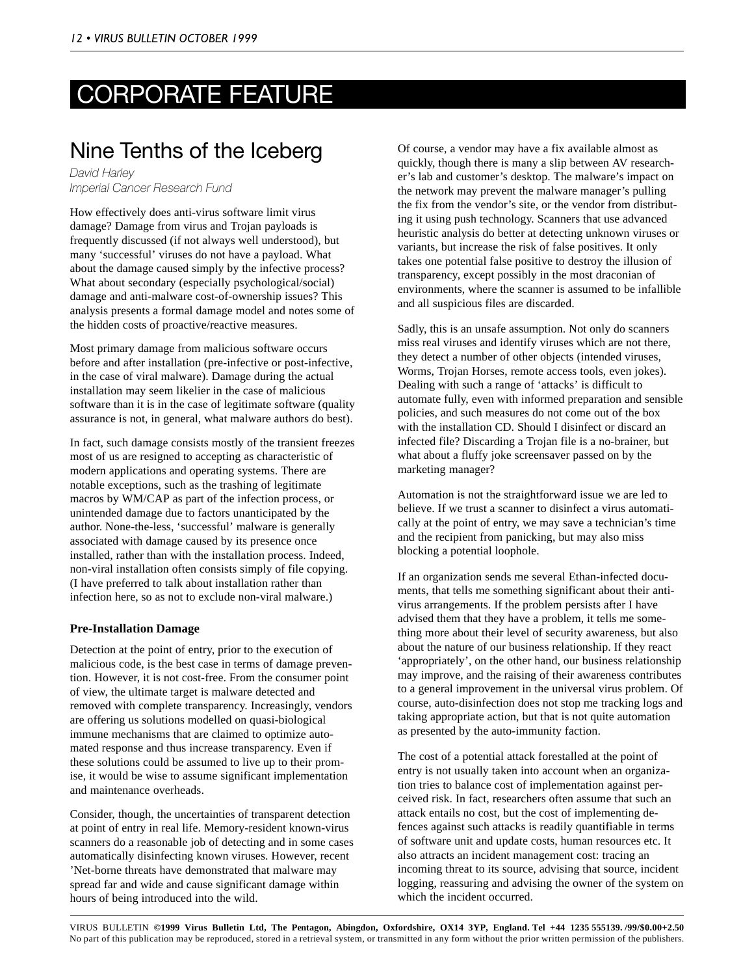# <span id="page-11-0"></span>CORPORATE FEATURE

## Nine Tenths of the Iceberg

*David Harley Imperial Cancer Research Fund*

How effectively does anti-virus software limit virus damage? Damage from virus and Trojan payloads is frequently discussed (if not always well understood), but many 'successful' viruses do not have a payload. What about the damage caused simply by the infective process? What about secondary (especially psychological/social) damage and anti-malware cost-of-ownership issues? This analysis presents a formal damage model and notes some of the hidden costs of proactive/reactive measures.

Most primary damage from malicious software occurs before and after installation (pre-infective or post-infective, in the case of viral malware). Damage during the actual installation may seem likelier in the case of malicious software than it is in the case of legitimate software (quality assurance is not, in general, what malware authors do best).

In fact, such damage consists mostly of the transient freezes most of us are resigned to accepting as characteristic of modern applications and operating systems. There are notable exceptions, such as the trashing of legitimate macros by WM/CAP as part of the infection process, or unintended damage due to factors unanticipated by the author. None-the-less, 'successful' malware is generally associated with damage caused by its presence once installed, rather than with the installation process. Indeed, non-viral installation often consists simply of file copying. (I have preferred to talk about installation rather than infection here, so as not to exclude non-viral malware.)

### **Pre-Installation Damage**

Detection at the point of entry, prior to the execution of malicious code, is the best case in terms of damage prevention. However, it is not cost-free. From the consumer point of view, the ultimate target is malware detected and removed with complete transparency. Increasingly, vendors are offering us solutions modelled on quasi-biological immune mechanisms that are claimed to optimize automated response and thus increase transparency. Even if these solutions could be assumed to live up to their promise, it would be wise to assume significant implementation and maintenance overheads.

Consider, though, the uncertainties of transparent detection at point of entry in real life. Memory-resident known-virus scanners do a reasonable job of detecting and in some cases automatically disinfecting known viruses. However, recent 'Net-borne threats have demonstrated that malware may spread far and wide and cause significant damage within hours of being introduced into the wild.

Of course, a vendor may have a fix available almost as quickly, though there is many a slip between AV researcher's lab and customer's desktop. The malware's impact on the network may prevent the malware manager's pulling the fix from the vendor's site, or the vendor from distributing it using push technology. Scanners that use advanced heuristic analysis do better at detecting unknown viruses or variants, but increase the risk of false positives. It only takes one potential false positive to destroy the illusion of transparency, except possibly in the most draconian of environments, where the scanner is assumed to be infallible and all suspicious files are discarded.

Sadly, this is an unsafe assumption. Not only do scanners miss real viruses and identify viruses which are not there, they detect a number of other objects (intended viruses, Worms, Trojan Horses, remote access tools, even jokes). Dealing with such a range of 'attacks' is difficult to automate fully, even with informed preparation and sensible policies, and such measures do not come out of the box with the installation CD. Should I disinfect or discard an infected file? Discarding a Trojan file is a no-brainer, but what about a fluffy joke screensaver passed on by the marketing manager?

Automation is not the straightforward issue we are led to believe. If we trust a scanner to disinfect a virus automatically at the point of entry, we may save a technician's time and the recipient from panicking, but may also miss blocking a potential loophole.

If an organization sends me several Ethan-infected documents, that tells me something significant about their antivirus arrangements. If the problem persists after I have advised them that they have a problem, it tells me something more about their level of security awareness, but also about the nature of our business relationship. If they react 'appropriately', on the other hand, our business relationship may improve, and the raising of their awareness contributes to a general improvement in the universal virus problem. Of course, auto-disinfection does not stop me tracking logs and taking appropriate action, but that is not quite automation as presented by the auto-immunity faction.

The cost of a potential attack forestalled at the point of entry is not usually taken into account when an organization tries to balance cost of implementation against perceived risk. In fact, researchers often assume that such an attack entails no cost, but the cost of implementing defences against such attacks is readily quantifiable in terms of software unit and update costs, human resources etc. It also attracts an incident management cost: tracing an incoming threat to its source, advising that source, incident logging, reassuring and advising the owner of the system on which the incident occurred.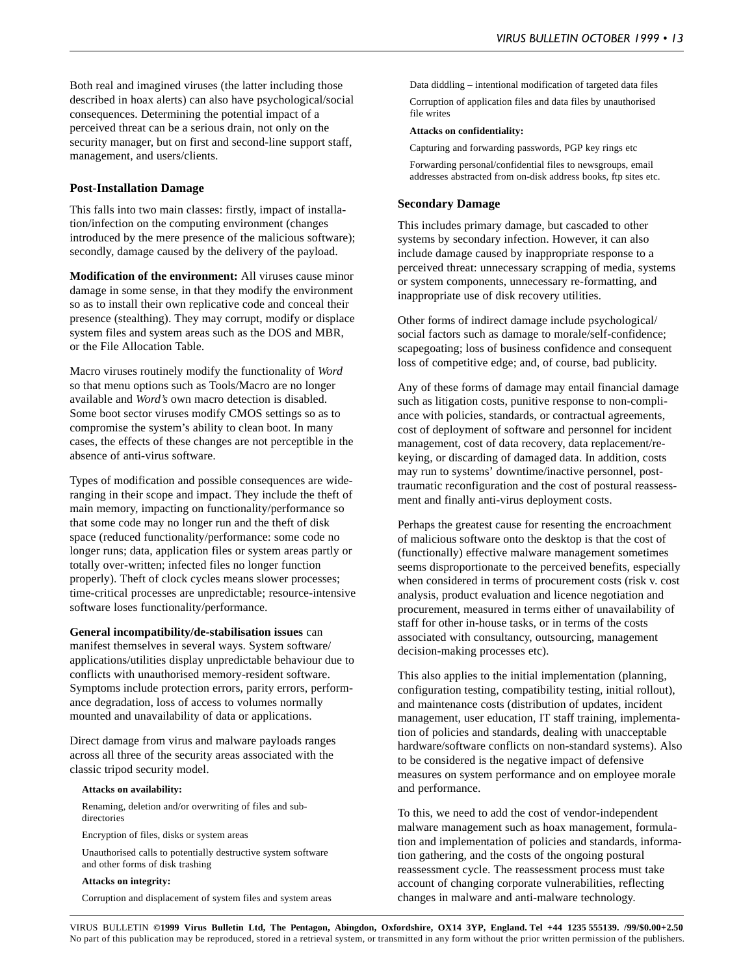Both real and imagined viruses (the latter including those described in hoax alerts) can also have psychological/social consequences. Determining the potential impact of a perceived threat can be a serious drain, not only on the security manager, but on first and second-line support staff, management, and users/clients.

#### **Post-Installation Damage**

This falls into two main classes: firstly, impact of installation/infection on the computing environment (changes introduced by the mere presence of the malicious software); secondly, damage caused by the delivery of the payload.

**Modification of the environment:** All viruses cause minor damage in some sense, in that they modify the environment so as to install their own replicative code and conceal their presence (stealthing). They may corrupt, modify or displace system files and system areas such as the DOS and MBR, or the File Allocation Table.

Macro viruses routinely modify the functionality of *Word* so that menu options such as Tools/Macro are no longer available and *Word's* own macro detection is disabled. Some boot sector viruses modify CMOS settings so as to compromise the system's ability to clean boot. In many cases, the effects of these changes are not perceptible in the absence of anti-virus software.

Types of modification and possible consequences are wideranging in their scope and impact. They include the theft of main memory, impacting on functionality/performance so that some code may no longer run and the theft of disk space (reduced functionality/performance: some code no longer runs; data, application files or system areas partly or totally over-written; infected files no longer function properly). Theft of clock cycles means slower processes; time-critical processes are unpredictable; resource-intensive software loses functionality/performance.

**General incompatibility/de-stabilisation issues** can manifest themselves in several ways. System software/ applications/utilities display unpredictable behaviour due to conflicts with unauthorised memory-resident software. Symptoms include protection errors, parity errors, performance degradation, loss of access to volumes normally mounted and unavailability of data or applications.

Direct damage from virus and malware payloads ranges across all three of the security areas associated with the classic tripod security model.

#### **Attacks on availability:**

Renaming, deletion and/or overwriting of files and subdirectories

Encryption of files, disks or system areas

Unauthorised calls to potentially destructive system software and other forms of disk trashing

#### **Attacks on integrity:**

Corruption and displacement of system files and system areas

Data diddling – intentional modification of targeted data files Corruption of application files and data files by unauthorised file writes

#### **Attacks on confidentiality:**

Capturing and forwarding passwords, PGP key rings etc

Forwarding personal/confidential files to newsgroups, email addresses abstracted from on-disk address books, ftp sites etc.

#### **Secondary Damage**

This includes primary damage, but cascaded to other systems by secondary infection. However, it can also include damage caused by inappropriate response to a perceived threat: unnecessary scrapping of media, systems or system components, unnecessary re-formatting, and inappropriate use of disk recovery utilities.

Other forms of indirect damage include psychological/ social factors such as damage to morale/self-confidence; scapegoating; loss of business confidence and consequent loss of competitive edge; and, of course, bad publicity.

Any of these forms of damage may entail financial damage such as litigation costs, punitive response to non-compliance with policies, standards, or contractual agreements, cost of deployment of software and personnel for incident management, cost of data recovery, data replacement/rekeying, or discarding of damaged data. In addition, costs may run to systems' downtime/inactive personnel, posttraumatic reconfiguration and the cost of postural reassessment and finally anti-virus deployment costs.

Perhaps the greatest cause for resenting the encroachment of malicious software onto the desktop is that the cost of (functionally) effective malware management sometimes seems disproportionate to the perceived benefits, especially when considered in terms of procurement costs (risk v. cost analysis, product evaluation and licence negotiation and procurement, measured in terms either of unavailability of staff for other in-house tasks, or in terms of the costs associated with consultancy, outsourcing, management decision-making processes etc).

This also applies to the initial implementation (planning, configuration testing, compatibility testing, initial rollout), and maintenance costs (distribution of updates, incident management, user education, IT staff training, implementation of policies and standards, dealing with unacceptable hardware/software conflicts on non-standard systems). Also to be considered is the negative impact of defensive measures on system performance and on employee morale and performance.

To this, we need to add the cost of vendor-independent malware management such as hoax management, formulation and implementation of policies and standards, information gathering, and the costs of the ongoing postural reassessment cycle. The reassessment process must take account of changing corporate vulnerabilities, reflecting changes in malware and anti-malware technology.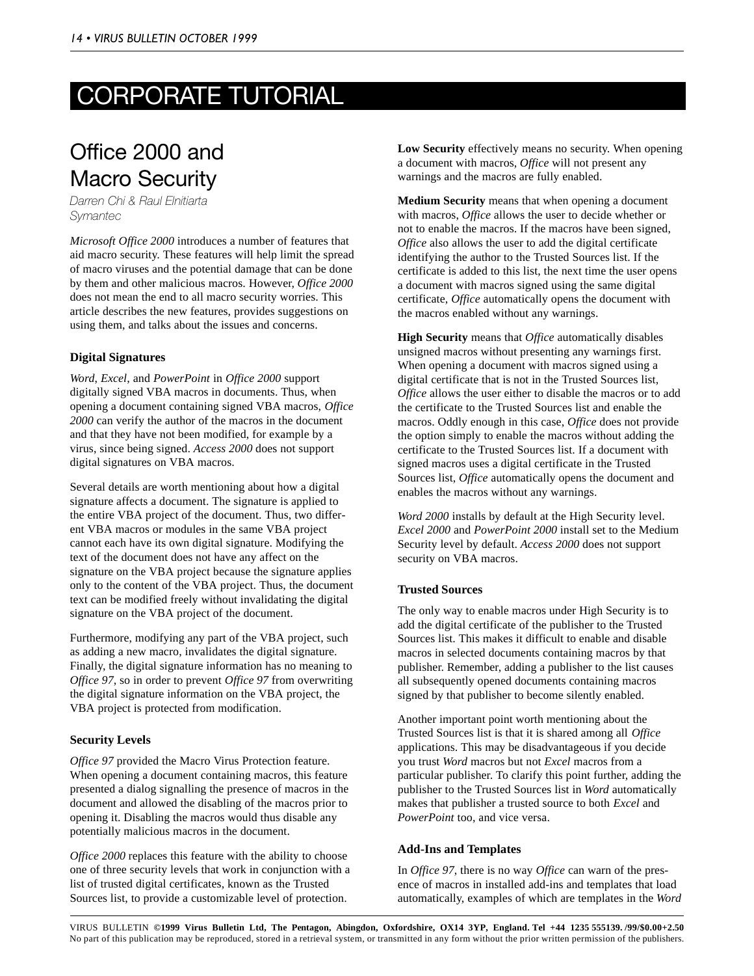# <span id="page-13-0"></span>CORPORATE TUTORIAL

## Office 2000 and Macro Security

*Darren Chi & Raul Elnitiarta Symantec*

*Microsoft Office 2000* introduces a number of features that aid macro security. These features will help limit the spread of macro viruses and the potential damage that can be done by them and other malicious macros. However, *Office 2000* does not mean the end to all macro security worries. This article describes the new features, provides suggestions on using them, and talks about the issues and concerns.

## **Digital Signatures**

*Word*, *Excel*, and *PowerPoint* in *Office 2000* support digitally signed VBA macros in documents. Thus, when opening a document containing signed VBA macros, *Office 2000* can verify the author of the macros in the document and that they have not been modified, for example by a virus, since being signed. *Access 2000* does not support digital signatures on VBA macros.

Several details are worth mentioning about how a digital signature affects a document. The signature is applied to the entire VBA project of the document. Thus, two different VBA macros or modules in the same VBA project cannot each have its own digital signature. Modifying the text of the document does not have any affect on the signature on the VBA project because the signature applies only to the content of the VBA project. Thus, the document text can be modified freely without invalidating the digital signature on the VBA project of the document.

Furthermore, modifying any part of the VBA project, such as adding a new macro, invalidates the digital signature. Finally, the digital signature information has no meaning to *Office 97*, so in order to prevent *Office 97* from overwriting the digital signature information on the VBA project, the VBA project is protected from modification.

## **Security Levels**

*Office 97* provided the Macro Virus Protection feature. When opening a document containing macros, this feature presented a dialog signalling the presence of macros in the document and allowed the disabling of the macros prior to opening it. Disabling the macros would thus disable any potentially malicious macros in the document.

*Office 2000* replaces this feature with the ability to choose one of three security levels that work in conjunction with a list of trusted digital certificates, known as the Trusted Sources list, to provide a customizable level of protection.

**Low Security** effectively means no security. When opening a document with macros, *Office* will not present any warnings and the macros are fully enabled.

**Medium Security** means that when opening a document with macros, *Office* allows the user to decide whether or not to enable the macros. If the macros have been signed, *Office* also allows the user to add the digital certificate identifying the author to the Trusted Sources list. If the certificate is added to this list, the next time the user opens a document with macros signed using the same digital certificate, *Office* automatically opens the document with the macros enabled without any warnings.

**High Security** means that *Office* automatically disables unsigned macros without presenting any warnings first. When opening a document with macros signed using a digital certificate that is not in the Trusted Sources list, *Office* allows the user either to disable the macros or to add the certificate to the Trusted Sources list and enable the macros. Oddly enough in this case, *Office* does not provide the option simply to enable the macros without adding the certificate to the Trusted Sources list. If a document with signed macros uses a digital certificate in the Trusted Sources list, *Office* automatically opens the document and enables the macros without any warnings.

*Word 2000* installs by default at the High Security level. *Excel 2000* and *PowerPoint 2000* install set to the Medium Security level by default. *Access 2000* does not support security on VBA macros.

## **Trusted Sources**

The only way to enable macros under High Security is to add the digital certificate of the publisher to the Trusted Sources list. This makes it difficult to enable and disable macros in selected documents containing macros by that publisher. Remember, adding a publisher to the list causes all subsequently opened documents containing macros signed by that publisher to become silently enabled.

Another important point worth mentioning about the Trusted Sources list is that it is shared among all *Office* applications. This may be disadvantageous if you decide you trust *Word* macros but not *Excel* macros from a particular publisher. To clarify this point further, adding the publisher to the Trusted Sources list in *Word* automatically makes that publisher a trusted source to both *Excel* and *PowerPoint* too, and vice versa.

### **Add-Ins and Templates**

In *Office 97*, there is no way *Office* can warn of the presence of macros in installed add-ins and templates that load automatically, examples of which are templates in the *Word*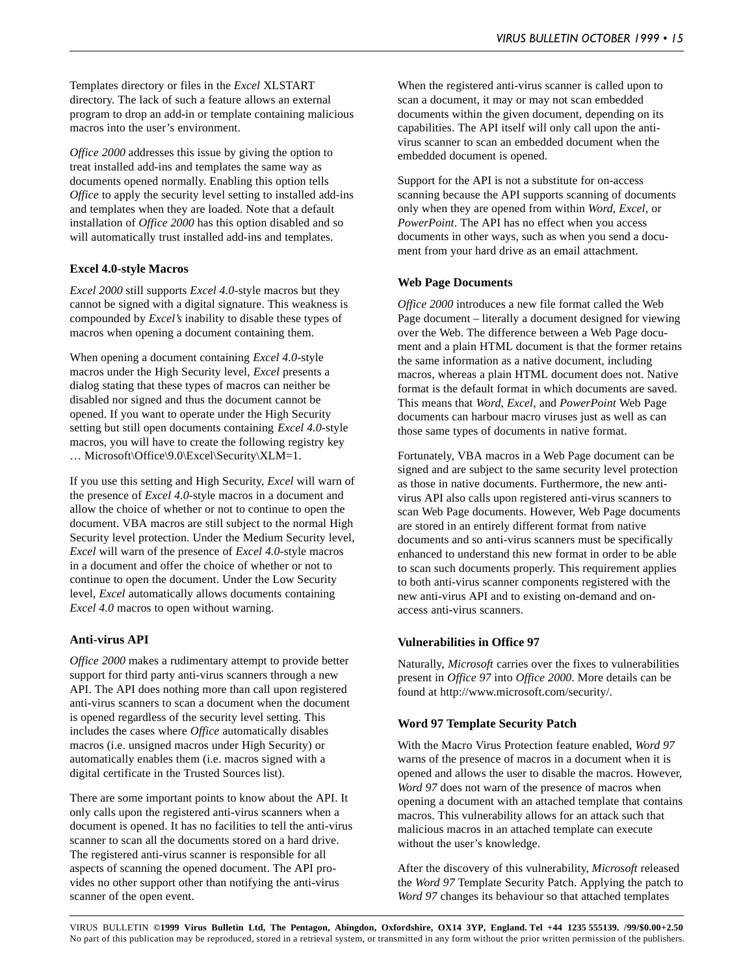Templates directory or files in the *Excel* XLSTART directory. The lack of such a feature allows an external program to drop an add-in or template containing malicious macros into the user's environment.

*Office 2000* addresses this issue by giving the option to treat installed add-ins and templates the same way as documents opened normally. Enabling this option tells *Office* to apply the security level setting to installed add-ins and templates when they are loaded. Note that a default installation of *Office 2000* has this option disabled and so will automatically trust installed add-ins and templates.

### **Excel 4.0-style Macros**

*Excel 2000* still supports *Excel 4.0*-style macros but they cannot be signed with a digital signature. This weakness is compounded by *Excel's* inability to disable these types of macros when opening a document containing them.

When opening a document containing *Excel 4.0*-style macros under the High Security level, *Excel* presents a dialog stating that these types of macros can neither be disabled nor signed and thus the document cannot be opened. If you want to operate under the High Security setting but still open documents containing *Excel 4.0*-style macros, you will have to create the following registry key … Microsoft\Office\9.0\Excel\Security\XLM=1.

If you use this setting and High Security, *Excel* will warn of the presence of *Excel 4.0*-style macros in a document and allow the choice of whether or not to continue to open the document. VBA macros are still subject to the normal High Security level protection. Under the Medium Security level, *Excel* will warn of the presence of *Excel 4.0*-style macros in a document and offer the choice of whether or not to continue to open the document. Under the Low Security level, *Excel* automatically allows documents containing *Excel 4.0* macros to open without warning.

#### **Anti-virus API**

*Office 2000* makes a rudimentary attempt to provide better support for third party anti-virus scanners through a new API. The API does nothing more than call upon registered anti-virus scanners to scan a document when the document is opened regardless of the security level setting. This includes the cases where *Office* automatically disables macros (i.e. unsigned macros under High Security) or automatically enables them (i.e. macros signed with a digital certificate in the Trusted Sources list).

There are some important points to know about the API. It only calls upon the registered anti-virus scanners when a document is opened. It has no facilities to tell the anti-virus scanner to scan all the documents stored on a hard drive. The registered anti-virus scanner is responsible for all aspects of scanning the opened document. The API provides no other support other than notifying the anti-virus scanner of the open event.

When the registered anti-virus scanner is called upon to scan a document, it may or may not scan embedded documents within the given document, depending on its capabilities. The API itself will only call upon the antivirus scanner to scan an embedded document when the embedded document is opened.

Support for the API is not a substitute for on-access scanning because the API supports scanning of documents only when they are opened from within *Word*, *Excel*, or *PowerPoint*. The API has no effect when you access documents in other ways, such as when you send a document from your hard drive as an email attachment.

#### **Web Page Documents**

*Office 2000* introduces a new file format called the Web Page document – literally a document designed for viewing over the Web. The difference between a Web Page document and a plain HTML document is that the former retains the same information as a native document, including macros, whereas a plain HTML document does not. Native format is the default format in which documents are saved. This means that *Word*, *Excel*, and *PowerPoint* Web Page documents can harbour macro viruses just as well as can those same types of documents in native format.

Fortunately, VBA macros in a Web Page document can be signed and are subject to the same security level protection as those in native documents. Furthermore, the new antivirus API also calls upon registered anti-virus scanners to scan Web Page documents. However, Web Page documents are stored in an entirely different format from native documents and so anti-virus scanners must be specifically enhanced to understand this new format in order to be able to scan such documents properly. This requirement applies to both anti-virus scanner components registered with the new anti-virus API and to existing on-demand and onaccess anti-virus scanners.

#### **Vulnerabilities in Office 97**

Naturally, *Microsoft* carries over the fixes to vulnerabilities present in *Office 97* into *Office 2000*. More details can be found at http://www.microsoft.com/security/.

#### **Word 97 Template Security Patch**

With the Macro Virus Protection feature enabled, *Word 97* warns of the presence of macros in a document when it is opened and allows the user to disable the macros. However, *Word 97* does not warn of the presence of macros when opening a document with an attached template that contains macros. This vulnerability allows for an attack such that malicious macros in an attached template can execute without the user's knowledge.

After the discovery of this vulnerability, *Microsoft* released the *Word 97* Template Security Patch. Applying the patch to *Word 97* changes its behaviour so that attached templates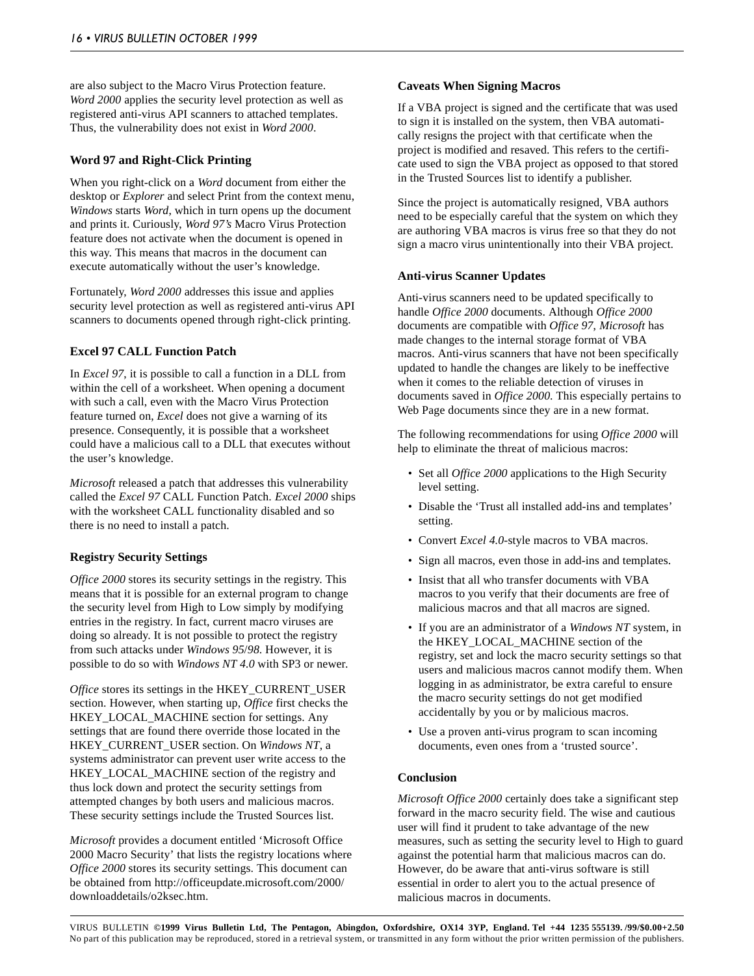are also subject to the Macro Virus Protection feature. *Word 2000* applies the security level protection as well as registered anti-virus API scanners to attached templates. Thus, the vulnerability does not exist in *Word 2000*.

### **Word 97 and Right-Click Printing**

When you right-click on a *Word* document from either the desktop or *Explorer* and select Print from the context menu, *Windows* starts *Word*, which in turn opens up the document and prints it. Curiously, *Word 97's* Macro Virus Protection feature does not activate when the document is opened in this way. This means that macros in the document can execute automatically without the user's knowledge.

Fortunately, *Word 2000* addresses this issue and applies security level protection as well as registered anti-virus API scanners to documents opened through right-click printing.

### **Excel 97 CALL Function Patch**

In *Excel 97*, it is possible to call a function in a DLL from within the cell of a worksheet. When opening a document with such a call, even with the Macro Virus Protection feature turned on, *Excel* does not give a warning of its presence. Consequently, it is possible that a worksheet could have a malicious call to a DLL that executes without the user's knowledge.

*Microsoft* released a patch that addresses this vulnerability called the *Excel 97* CALL Function Patch. *Excel 2000* ships with the worksheet CALL functionality disabled and so there is no need to install a patch.

#### **Registry Security Settings**

*Office 2000* stores its security settings in the registry. This means that it is possible for an external program to change the security level from High to Low simply by modifying entries in the registry. In fact, current macro viruses are doing so already. It is not possible to protect the registry from such attacks under *Windows 95*/*98*. However, it is possible to do so with *Windows NT 4.0* with SP3 or newer.

*Office* stores its settings in the HKEY\_CURRENT\_USER section. However, when starting up, *Office* first checks the HKEY\_LOCAL\_MACHINE section for settings. Any settings that are found there override those located in the HKEY\_CURRENT\_USER section. On *Windows NT*, a systems administrator can prevent user write access to the HKEY\_LOCAL\_MACHINE section of the registry and thus lock down and protect the security settings from attempted changes by both users and malicious macros. These security settings include the Trusted Sources list.

*Microsoft* provides a document entitled 'Microsoft Office 2000 Macro Security' that lists the registry locations where *Office 2000* stores its security settings. This document can be obtained from http://officeupdate.microsoft.com/2000/ downloaddetails/o2ksec.htm.

#### **Caveats When Signing Macros**

If a VBA project is signed and the certificate that was used to sign it is installed on the system, then VBA automatically resigns the project with that certificate when the project is modified and resaved. This refers to the certificate used to sign the VBA project as opposed to that stored in the Trusted Sources list to identify a publisher.

Since the project is automatically resigned, VBA authors need to be especially careful that the system on which they are authoring VBA macros is virus free so that they do not sign a macro virus unintentionally into their VBA project.

#### **Anti-virus Scanner Updates**

Anti-virus scanners need to be updated specifically to handle *Office 2000* documents. Although *Office 2000* documents are compatible with *Office 97*, *Microsoft* has made changes to the internal storage format of VBA macros. Anti-virus scanners that have not been specifically updated to handle the changes are likely to be ineffective when it comes to the reliable detection of viruses in documents saved in *Office 2000*. This especially pertains to Web Page documents since they are in a new format.

The following recommendations for using *Office 2000* will help to eliminate the threat of malicious macros:

- Set all *Office 2000* applications to the High Security level setting.
- Disable the 'Trust all installed add-ins and templates' setting.
- Convert *Excel 4.0*-style macros to VBA macros.
- Sign all macros, even those in add-ins and templates.
- Insist that all who transfer documents with VBA macros to you verify that their documents are free of malicious macros and that all macros are signed.
- If you are an administrator of a *Windows NT* system, in the HKEY\_LOCAL\_MACHINE section of the registry, set and lock the macro security settings so that users and malicious macros cannot modify them. When logging in as administrator, be extra careful to ensure the macro security settings do not get modified accidentally by you or by malicious macros.
- Use a proven anti-virus program to scan incoming documents, even ones from a 'trusted source'.

#### **Conclusion**

*Microsoft Office 2000* certainly does take a significant step forward in the macro security field. The wise and cautious user will find it prudent to take advantage of the new measures, such as setting the security level to High to guard against the potential harm that malicious macros can do. However, do be aware that anti-virus software is still essential in order to alert you to the actual presence of malicious macros in documents.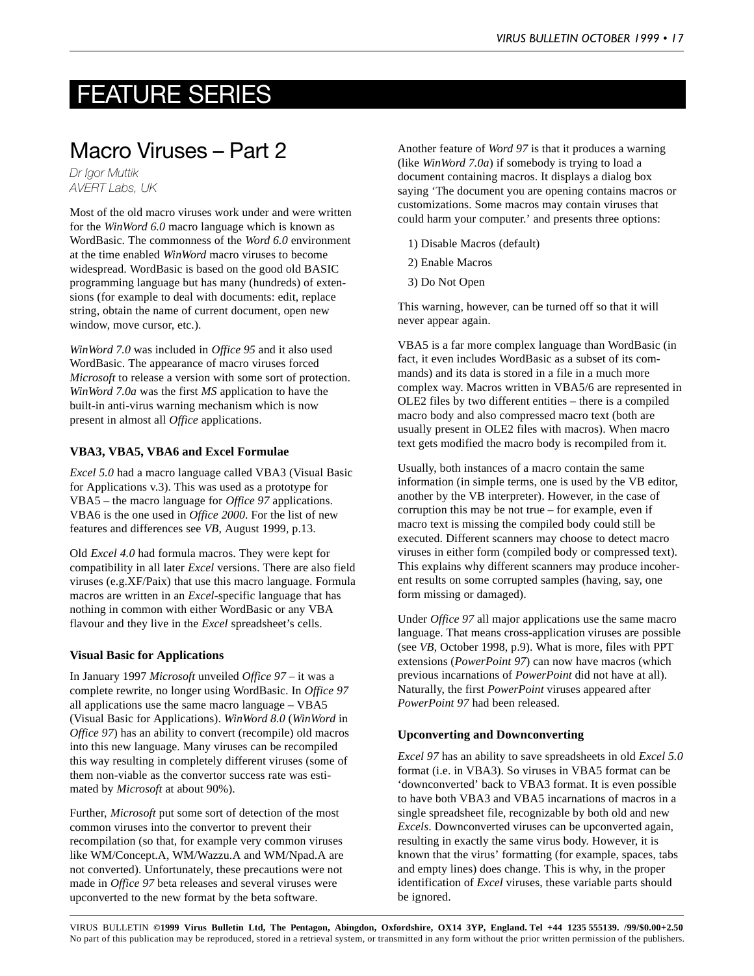## <span id="page-16-0"></span>FEATURE SERIES

## Macro Viruses – Part 2

*Dr Igor Muttik AVERT Labs, UK*

Most of the old macro viruses work under and were written for the *WinWord 6.0* macro language which is known as WordBasic. The commonness of the *Word 6.0* environment at the time enabled *WinWord* macro viruses to become widespread. WordBasic is based on the good old BASIC programming language but has many (hundreds) of extensions (for example to deal with documents: edit, replace string, obtain the name of current document, open new window, move cursor, etc.).

*WinWord 7.0* was included in *Office 95* and it also used WordBasic. The appearance of macro viruses forced *Microsoft* to release a version with some sort of protection. *WinWord 7.0a* was the first *MS* application to have the built-in anti-virus warning mechanism which is now present in almost all *Office* applications.

### **VBA3, VBA5, VBA6 and Excel Formulae**

*Excel 5.0* had a macro language called VBA3 (Visual Basic for Applications v.3). This was used as a prototype for VBA5 – the macro language for *Office 97* applications. VBA6 is the one used in *Office 2000*. For the list of new features and differences see *VB*, August 1999, p.13.

Old *Excel 4.0* had formula macros. They were kept for compatibility in all later *Excel* versions. There are also field viruses (e.g.XF/Paix) that use this macro language. Formula macros are written in an *Excel*-specific language that has nothing in common with either WordBasic or any VBA flavour and they live in the *Excel* spreadsheet's cells.

#### **Visual Basic for Applications**

In January 1997 *Microsoft* unveiled *Office 97* – it was a complete rewrite, no longer using WordBasic. In *Office 97* all applications use the same macro language – VBA5 (Visual Basic for Applications). *WinWord 8.0* (*WinWord* in *Office 97*) has an ability to convert (recompile) old macros into this new language. Many viruses can be recompiled this way resulting in completely different viruses (some of them non-viable as the convertor success rate was estimated by *Microsoft* at about 90%).

Further, *Microsoft* put some sort of detection of the most common viruses into the convertor to prevent their recompilation (so that, for example very common viruses like WM/Concept.A, WM/Wazzu.A and WM/Npad.A are not converted). Unfortunately, these precautions were not made in *Office 97* beta releases and several viruses were upconverted to the new format by the beta software.

Another feature of *Word 97* is that it produces a warning (like *WinWord 7.0a*) if somebody is trying to load a document containing macros. It displays a dialog box saying 'The document you are opening contains macros or customizations. Some macros may contain viruses that could harm your computer.' and presents three options:

- 1) Disable Macros (default)
- 2) Enable Macros
- 3) Do Not Open

This warning, however, can be turned off so that it will never appear again.

VBA5 is a far more complex language than WordBasic (in fact, it even includes WordBasic as a subset of its commands) and its data is stored in a file in a much more complex way. Macros written in VBA5/6 are represented in OLE2 files by two different entities – there is a compiled macro body and also compressed macro text (both are usually present in OLE2 files with macros). When macro text gets modified the macro body is recompiled from it.

Usually, both instances of a macro contain the same information (in simple terms, one is used by the VB editor, another by the VB interpreter). However, in the case of corruption this may be not true – for example, even if macro text is missing the compiled body could still be executed. Different scanners may choose to detect macro viruses in either form (compiled body or compressed text). This explains why different scanners may produce incoherent results on some corrupted samples (having, say, one form missing or damaged).

Under *Office 97* all major applications use the same macro language. That means cross-application viruses are possible (see *VB*, October 1998, p.9). What is more, files with PPT extensions (*PowerPoint 97*) can now have macros (which previous incarnations of *PowerPoint* did not have at all). Naturally, the first *PowerPoint* viruses appeared after *PowerPoint 97* had been released.

#### **Upconverting and Downconverting**

*Excel 97* has an ability to save spreadsheets in old *Excel 5.0* format (i.e. in VBA3). So viruses in VBA5 format can be 'downconverted' back to VBA3 format. It is even possible to have both VBA3 and VBA5 incarnations of macros in a single spreadsheet file, recognizable by both old and new *Excels*. Downconverted viruses can be upconverted again, resulting in exactly the same virus body. However, it is known that the virus' formatting (for example, spaces, tabs and empty lines) does change. This is why, in the proper identification of *Excel* viruses, these variable parts should be ignored.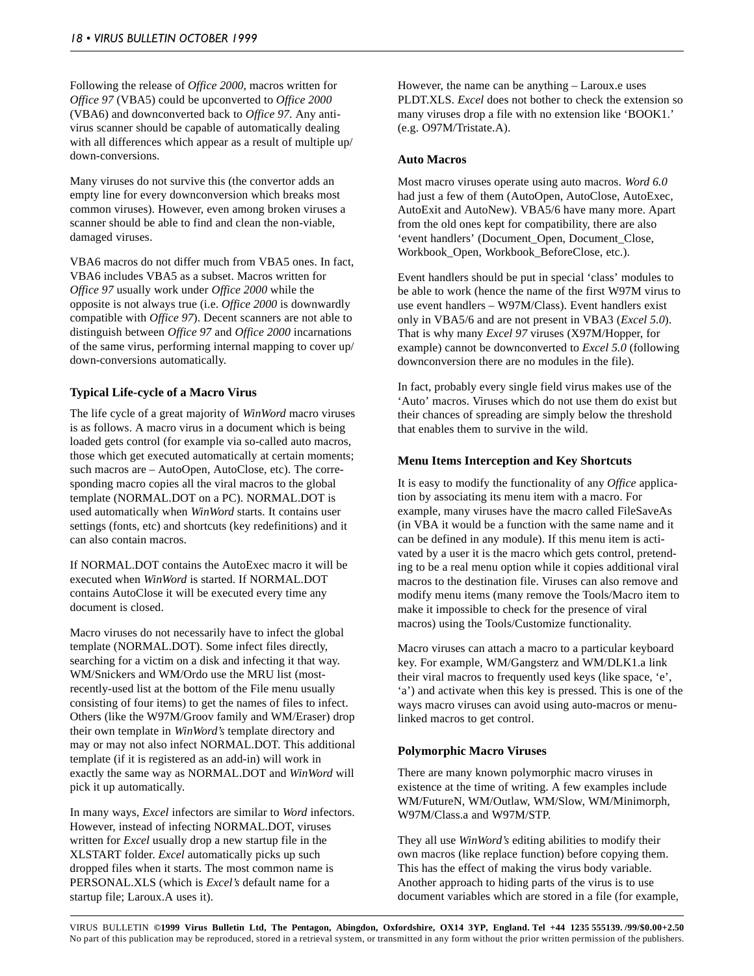Following the release of *Office 2000*, macros written for *Office 97* (VBA5) could be upconverted to *Office 2000* (VBA6) and downconverted back to *Office 97*. Any antivirus scanner should be capable of automatically dealing with all differences which appear as a result of multiple up/ down-conversions.

Many viruses do not survive this (the convertor adds an empty line for every downconversion which breaks most common viruses). However, even among broken viruses a scanner should be able to find and clean the non-viable, damaged viruses.

VBA6 macros do not differ much from VBA5 ones. In fact, VBA6 includes VBA5 as a subset. Macros written for *Office 97* usually work under *Office 2000* while the opposite is not always true (i.e. *Office 2000* is downwardly compatible with *Office 97*). Decent scanners are not able to distinguish between *Office 97* and *Office 2000* incarnations of the same virus, performing internal mapping to cover up/ down-conversions automatically.

## **Typical Life-cycle of a Macro Virus**

The life cycle of a great majority of *WinWord* macro viruses is as follows. A macro virus in a document which is being loaded gets control (for example via so-called auto macros, those which get executed automatically at certain moments; such macros are – AutoOpen, AutoClose, etc). The corresponding macro copies all the viral macros to the global template (NORMAL.DOT on a PC). NORMAL.DOT is used automatically when *WinWord* starts. It contains user settings (fonts, etc) and shortcuts (key redefinitions) and it can also contain macros.

If NORMAL.DOT contains the AutoExec macro it will be executed when *WinWord* is started. If NORMAL.DOT contains AutoClose it will be executed every time any document is closed.

Macro viruses do not necessarily have to infect the global template (NORMAL.DOT). Some infect files directly, searching for a victim on a disk and infecting it that way. WM/Snickers and WM/Ordo use the MRU list (mostrecently-used list at the bottom of the File menu usually consisting of four items) to get the names of files to infect. Others (like the W97M/Groov family and WM/Eraser) drop their own template in *WinWord's* template directory and may or may not also infect NORMAL.DOT. This additional template (if it is registered as an add-in) will work in exactly the same way as NORMAL.DOT and *WinWord* will pick it up automatically.

In many ways, *Excel* infectors are similar to *Word* infectors. However, instead of infecting NORMAL.DOT, viruses written for *Excel* usually drop a new startup file in the XLSTART folder. *Excel* automatically picks up such dropped files when it starts. The most common name is PERSONAL.XLS (which is *Excel's* default name for a startup file; Laroux.A uses it).

However, the name can be anything – Laroux.e uses PLDT.XLS. *Excel* does not bother to check the extension so many viruses drop a file with no extension like 'BOOK1.' (e.g. O97M/Tristate.A).

### **Auto Macros**

Most macro viruses operate using auto macros. *Word 6.0* had just a few of them (AutoOpen, AutoClose, AutoExec, AutoExit and AutoNew). VBA5/6 have many more. Apart from the old ones kept for compatibility, there are also 'event handlers' (Document\_Open, Document\_Close, Workbook\_Open, Workbook\_BeforeClose, etc.).

Event handlers should be put in special 'class' modules to be able to work (hence the name of the first W97M virus to use event handlers – W97M/Class). Event handlers exist only in VBA5/6 and are not present in VBA3 (*Excel 5.0*). That is why many *Excel 97* viruses (X97M/Hopper, for example) cannot be downconverted to *Excel 5.0* (following downconversion there are no modules in the file).

In fact, probably every single field virus makes use of the 'Auto' macros. Viruses which do not use them do exist but their chances of spreading are simply below the threshold that enables them to survive in the wild.

## **Menu Items Interception and Key Shortcuts**

It is easy to modify the functionality of any *Office* application by associating its menu item with a macro. For example, many viruses have the macro called FileSaveAs (in VBA it would be a function with the same name and it can be defined in any module). If this menu item is activated by a user it is the macro which gets control, pretending to be a real menu option while it copies additional viral macros to the destination file. Viruses can also remove and modify menu items (many remove the Tools/Macro item to make it impossible to check for the presence of viral macros) using the Tools/Customize functionality.

Macro viruses can attach a macro to a particular keyboard key. For example, WM/Gangsterz and WM/DLK1.a link their viral macros to frequently used keys (like space, 'e', 'a') and activate when this key is pressed. This is one of the ways macro viruses can avoid using auto-macros or menulinked macros to get control.

### **Polymorphic Macro Viruses**

There are many known polymorphic macro viruses in existence at the time of writing. A few examples include WM/FutureN, WM/Outlaw, WM/Slow, WM/Minimorph, W97M/Class.a and W97M/STP.

They all use *WinWord's* editing abilities to modify their own macros (like replace function) before copying them. This has the effect of making the virus body variable. Another approach to hiding parts of the virus is to use document variables which are stored in a file (for example,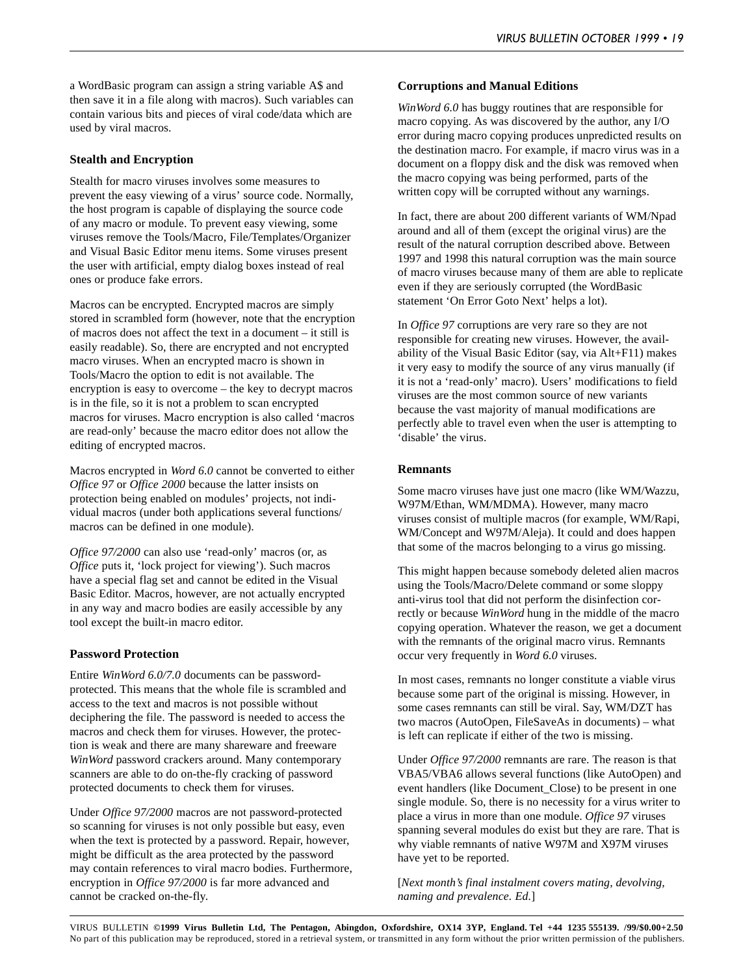a WordBasic program can assign a string variable A\$ and then save it in a file along with macros). Such variables can contain various bits and pieces of viral code/data which are used by viral macros.

### **Stealth and Encryption**

Stealth for macro viruses involves some measures to prevent the easy viewing of a virus' source code. Normally, the host program is capable of displaying the source code of any macro or module. To prevent easy viewing, some viruses remove the Tools/Macro, File/Templates/Organizer and Visual Basic Editor menu items. Some viruses present the user with artificial, empty dialog boxes instead of real ones or produce fake errors.

Macros can be encrypted. Encrypted macros are simply stored in scrambled form (however, note that the encryption of macros does not affect the text in a document – it still is easily readable). So, there are encrypted and not encrypted macro viruses. When an encrypted macro is shown in Tools/Macro the option to edit is not available. The encryption is easy to overcome – the key to decrypt macros is in the file, so it is not a problem to scan encrypted macros for viruses. Macro encryption is also called 'macros are read-only' because the macro editor does not allow the editing of encrypted macros.

Macros encrypted in *Word 6.0* cannot be converted to either *Office 97* or *Office 2000* because the latter insists on protection being enabled on modules' projects, not individual macros (under both applications several functions/ macros can be defined in one module).

*Office 97/2000* can also use 'read-only' macros (or, as *Office* puts it, 'lock project for viewing'). Such macros have a special flag set and cannot be edited in the Visual Basic Editor. Macros, however, are not actually encrypted in any way and macro bodies are easily accessible by any tool except the built-in macro editor.

### **Password Protection**

Entire *WinWord 6.0/7.0* documents can be passwordprotected. This means that the whole file is scrambled and access to the text and macros is not possible without deciphering the file. The password is needed to access the macros and check them for viruses. However, the protection is weak and there are many shareware and freeware *WinWord* password crackers around. Many contemporary scanners are able to do on-the-fly cracking of password protected documents to check them for viruses.

Under *Office 97/2000* macros are not password-protected so scanning for viruses is not only possible but easy, even when the text is protected by a password. Repair, however, might be difficult as the area protected by the password may contain references to viral macro bodies. Furthermore, encryption in *Office 97/2000* is far more advanced and cannot be cracked on-the-fly.

### **Corruptions and Manual Editions**

*WinWord 6.0* has buggy routines that are responsible for macro copying. As was discovered by the author, any I/O error during macro copying produces unpredicted results on the destination macro. For example, if macro virus was in a document on a floppy disk and the disk was removed when the macro copying was being performed, parts of the written copy will be corrupted without any warnings.

In fact, there are about 200 different variants of WM/Npad around and all of them (except the original virus) are the result of the natural corruption described above. Between 1997 and 1998 this natural corruption was the main source of macro viruses because many of them are able to replicate even if they are seriously corrupted (the WordBasic statement 'On Error Goto Next' helps a lot).

In *Office 97* corruptions are very rare so they are not responsible for creating new viruses. However, the availability of the Visual Basic Editor (say, via Alt+F11) makes it very easy to modify the source of any virus manually (if it is not a 'read-only' macro). Users' modifications to field viruses are the most common source of new variants because the vast majority of manual modifications are perfectly able to travel even when the user is attempting to 'disable' the virus.

#### **Remnants**

Some macro viruses have just one macro (like WM/Wazzu, W97M/Ethan, WM/MDMA). However, many macro viruses consist of multiple macros (for example, WM/Rapi, WM/Concept and W97M/Aleja). It could and does happen that some of the macros belonging to a virus go missing.

This might happen because somebody deleted alien macros using the Tools/Macro/Delete command or some sloppy anti-virus tool that did not perform the disinfection correctly or because *WinWord* hung in the middle of the macro copying operation. Whatever the reason, we get a document with the remnants of the original macro virus. Remnants occur very frequently in *Word 6.0* viruses.

In most cases, remnants no longer constitute a viable virus because some part of the original is missing. However, in some cases remnants can still be viral. Say, WM/DZT has two macros (AutoOpen, FileSaveAs in documents) – what is left can replicate if either of the two is missing.

Under *Office 97/2000* remnants are rare. The reason is that VBA5/VBA6 allows several functions (like AutoOpen) and event handlers (like Document\_Close) to be present in one single module. So, there is no necessity for a virus writer to place a virus in more than one module. *Office 97* viruses spanning several modules do exist but they are rare. That is why viable remnants of native W97M and X97M viruses have yet to be reported.

[*Next month's final instalment covers mating, devolving, naming and prevalence. Ed.*]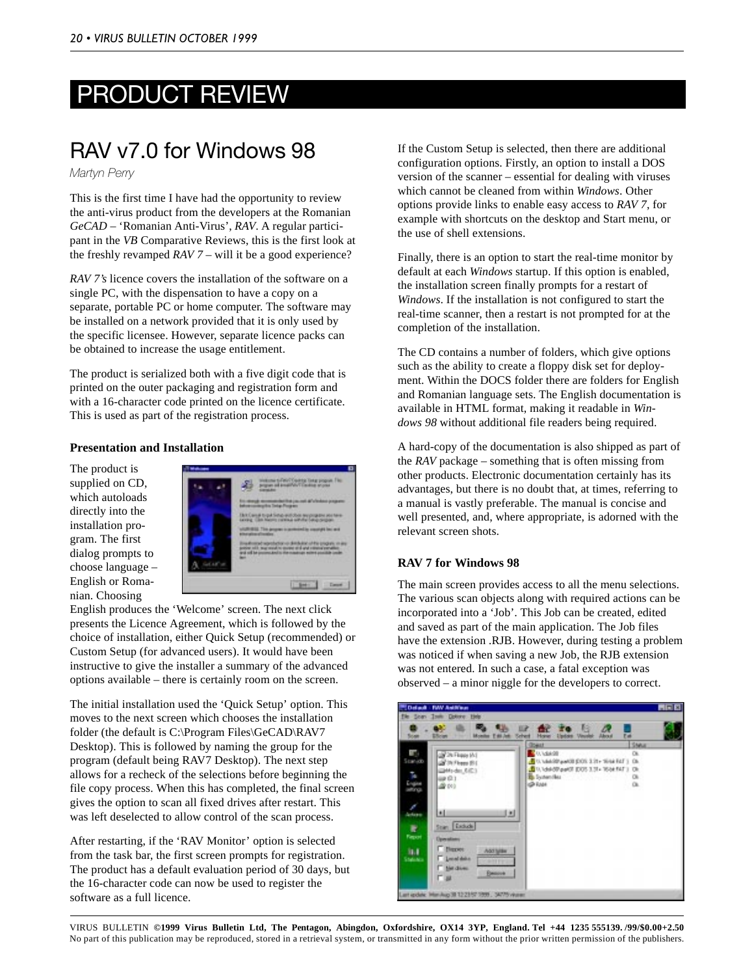# <span id="page-19-0"></span>PRODUCT REVIEW

## RAV v7.0 for Windows 98

*Martyn Perry*

This is the first time I have had the opportunity to review the anti-virus product from the developers at the Romanian *GeCAD* – 'Romanian Anti-Virus', *RAV*. A regular participant in the *VB* Comparative Reviews, this is the first look at the freshly revamped *RAV 7* – will it be a good experience?

*RAV 7's* licence covers the installation of the software on a single PC, with the dispensation to have a copy on a separate, portable PC or home computer. The software may be installed on a network provided that it is only used by the specific licensee. However, separate licence packs can be obtained to increase the usage entitlement.

The product is serialized both with a five digit code that is printed on the outer packaging and registration form and with a 16-character code printed on the licence certificate. This is used as part of the registration process.

## **Presentation and Installation**

The product is supplied on CD, which autoloads directly into the installation program. The first dialog prompts to choose language – English or Romanian. Choosing



English produces the 'Welcome' screen. The next click presents the Licence Agreement, which is followed by the choice of installation, either Quick Setup (recommended) or Custom Setup (for advanced users). It would have been instructive to give the installer a summary of the advanced options available – there is certainly room on the screen.

The initial installation used the 'Quick Setup' option. This moves to the next screen which chooses the installation folder (the default is C:\Program Files\GeCAD\RAV7 Desktop). This is followed by naming the group for the program (default being RAV7 Desktop). The next step allows for a recheck of the selections before beginning the file copy process. When this has completed, the final screen gives the option to scan all fixed drives after restart. This was left deselected to allow control of the scan process.

After restarting, if the 'RAV Monitor' option is selected from the task bar, the first screen prompts for registration. The product has a default evaluation period of 30 days, but the 16-character code can now be used to register the software as a full licence.

If the Custom Setup is selected, then there are additional configuration options. Firstly, an option to install a DOS version of the scanner – essential for dealing with viruses which cannot be cleaned from within *Windows*. Other options provide links to enable easy access to *RAV 7*, for example with shortcuts on the desktop and Start menu, or the use of shell extensions.

Finally, there is an option to start the real-time monitor by default at each *Windows* startup. If this option is enabled, the installation screen finally prompts for a restart of *Windows*. If the installation is not configured to start the real-time scanner, then a restart is not prompted for at the completion of the installation.

The CD contains a number of folders, which give options such as the ability to create a floppy disk set for deployment. Within the DOCS folder there are folders for English and Romanian language sets. The English documentation is available in HTML format, making it readable in *Windows 98* without additional file readers being required.

A hard-copy of the documentation is also shipped as part of the *RAV* package – something that is often missing from other products. Electronic documentation certainly has its advantages, but there is no doubt that, at times, referring to a manual is vastly preferable. The manual is concise and well presented, and, where appropriate, is adorned with the relevant screen shots.

## **RAV 7 for Windows 98**

The main screen provides access to all the menu selections. The various scan objects along with required actions can be incorporated into a 'Job'. This Job can be created, edited and saved as part of the main application. The Job files have the extension .RJB. However, during testing a problem was noticed if when saving a new Job, the RJB extension was not entered. In such a case, a fatal exception was observed – a minor niggle for the developers to correct.

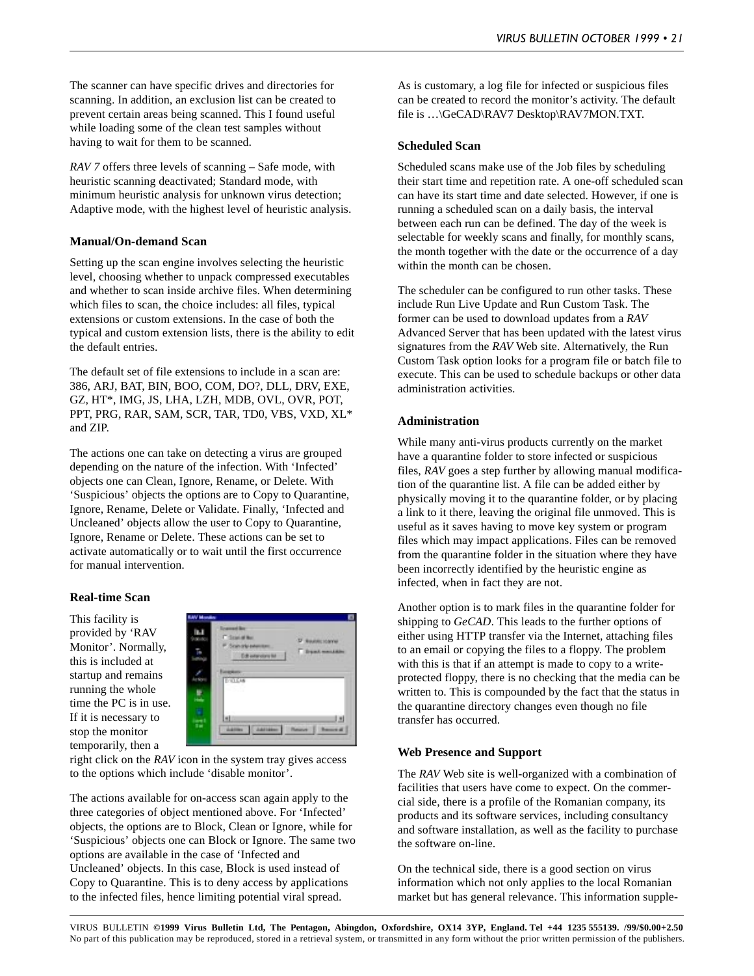The scanner can have specific drives and directories for scanning. In addition, an exclusion list can be created to prevent certain areas being scanned. This I found useful while loading some of the clean test samples without having to wait for them to be scanned.

*RAV 7* offers three levels of scanning – Safe mode, with heuristic scanning deactivated; Standard mode, with minimum heuristic analysis for unknown virus detection; Adaptive mode, with the highest level of heuristic analysis.

### **Manual/On-demand Scan**

Setting up the scan engine involves selecting the heuristic level, choosing whether to unpack compressed executables and whether to scan inside archive files. When determining which files to scan, the choice includes: all files, typical extensions or custom extensions. In the case of both the typical and custom extension lists, there is the ability to edit the default entries.

The default set of file extensions to include in a scan are: 386, ARJ, BAT, BIN, BOO, COM, DO?, DLL, DRV, EXE, GZ, HT\*, IMG, JS, LHA, LZH, MDB, OVL, OVR, POT, PPT, PRG, RAR, SAM, SCR, TAR, TD0, VBS, VXD, XL\* and ZIP.

The actions one can take on detecting a virus are grouped depending on the nature of the infection. With 'Infected' objects one can Clean, Ignore, Rename, or Delete. With 'Suspicious' objects the options are to Copy to Quarantine, Ignore, Rename, Delete or Validate. Finally, 'Infected and Uncleaned' objects allow the user to Copy to Quarantine, Ignore, Rename or Delete. These actions can be set to activate automatically or to wait until the first occurrence for manual intervention.

### **Real-time Scan**

This facility is provided by 'RAV Monitor'. Normally, this is included at startup and remains running the whole time the PC is in use. If it is necessary to stop the monitor temporarily, then a



right click on the *RAV* icon in the system tray gives access to the options which include 'disable monitor'.

The actions available for on-access scan again apply to the three categories of object mentioned above. For 'Infected' objects, the options are to Block, Clean or Ignore, while for 'Suspicious' objects one can Block or Ignore. The same two options are available in the case of 'Infected and Uncleaned' objects. In this case, Block is used instead of Copy to Quarantine. This is to deny access by applications to the infected files, hence limiting potential viral spread.

As is customary, a log file for infected or suspicious files can be created to record the monitor's activity. The default file is …\GeCAD\RAV7 Desktop\RAV7MON.TXT.

#### **Scheduled Scan**

Scheduled scans make use of the Job files by scheduling their start time and repetition rate. A one-off scheduled scan can have its start time and date selected. However, if one is running a scheduled scan on a daily basis, the interval between each run can be defined. The day of the week is selectable for weekly scans and finally, for monthly scans, the month together with the date or the occurrence of a day within the month can be chosen.

The scheduler can be configured to run other tasks. These include Run Live Update and Run Custom Task. The former can be used to download updates from a *RAV* Advanced Server that has been updated with the latest virus signatures from the *RAV* Web site. Alternatively, the Run Custom Task option looks for a program file or batch file to execute. This can be used to schedule backups or other data administration activities.

### **Administration**

While many anti-virus products currently on the market have a quarantine folder to store infected or suspicious files, *RAV* goes a step further by allowing manual modification of the quarantine list. A file can be added either by physically moving it to the quarantine folder, or by placing a link to it there, leaving the original file unmoved. This is useful as it saves having to move key system or program files which may impact applications. Files can be removed from the quarantine folder in the situation where they have been incorrectly identified by the heuristic engine as infected, when in fact they are not.

Another option is to mark files in the quarantine folder for shipping to *GeCAD*. This leads to the further options of either using HTTP transfer via the Internet, attaching files to an email or copying the files to a floppy. The problem with this is that if an attempt is made to copy to a writeprotected floppy, there is no checking that the media can be written to. This is compounded by the fact that the status in the quarantine directory changes even though no file transfer has occurred.

#### **Web Presence and Support**

The *RAV* Web site is well-organized with a combination of facilities that users have come to expect. On the commercial side, there is a profile of the Romanian company, its products and its software services, including consultancy and software installation, as well as the facility to purchase the software on-line.

On the technical side, there is a good section on virus information which not only applies to the local Romanian market but has general relevance. This information supple-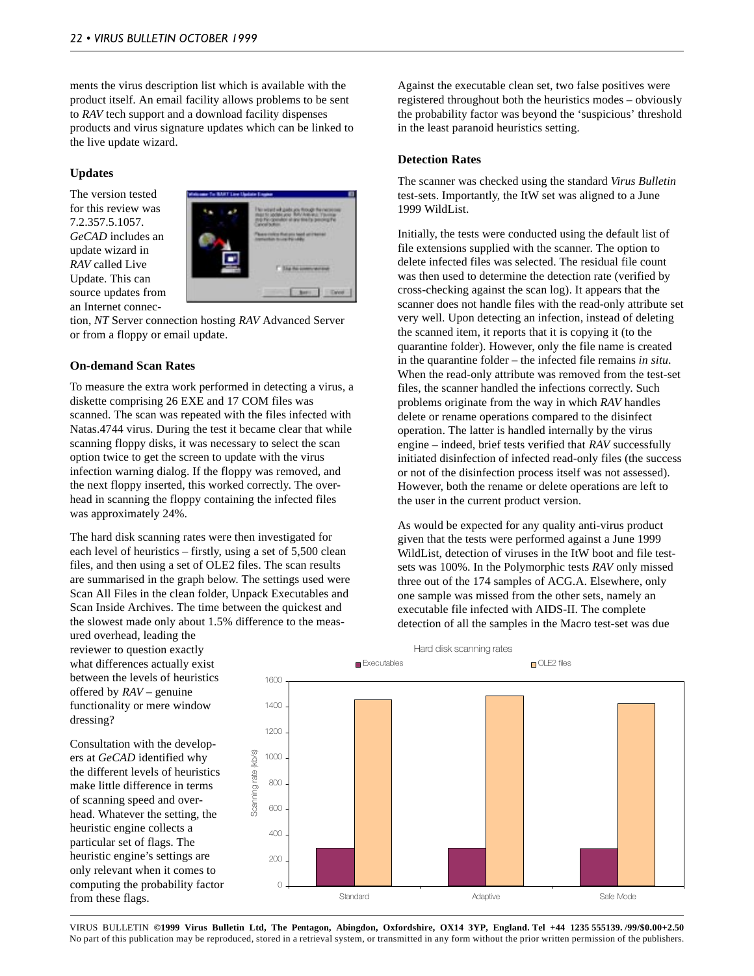ments the virus description list which is available with the product itself. An email facility allows problems to be sent to *RAV* tech support and a download facility dispenses products and virus signature updates which can be linked to the live update wizard.

### **Updates**

The version tested for this review was 7.2.357.5.1057. *GeCAD* includes an update wizard in *RAV* called Live Update. This can source updates from an Internet connec-



tion, *NT* Server connection hosting *RAV* Advanced Server or from a floppy or email update.

### **On-demand Scan Rates**

To measure the extra work performed in detecting a virus, a diskette comprising 26 EXE and 17 COM files was scanned. The scan was repeated with the files infected with Natas.4744 virus. During the test it became clear that while scanning floppy disks, it was necessary to select the scan option twice to get the screen to update with the virus infection warning dialog. If the floppy was removed, and the next floppy inserted, this worked correctly. The overhead in scanning the floppy containing the infected files was approximately 24%.

The hard disk scanning rates were then investigated for each level of heuristics – firstly, using a set of 5,500 clean files, and then using a set of OLE2 files. The scan results are summarised in the graph below. The settings used were Scan All Files in the clean folder, Unpack Executables and Scan Inside Archives. The time between the quickest and the slowest made only about 1.5% difference to the meas-

ured overhead, leading the reviewer to question exactly what differences actually exist between the levels of heuristics offered by *RAV* – genuine functionality or mere window dressing?

Consultation with the developers at *GeCAD* identified why the different levels of heuristics make little difference in terms of scanning speed and overhead. Whatever the setting, the heuristic engine collects a particular set of flags. The heuristic engine's settings are only relevant when it comes to computing the probability factor from these flags.

Against the executable clean set, two false positives were registered throughout both the heuristics modes – obviously the probability factor was beyond the 'suspicious' threshold in the least paranoid heuristics setting.

### **Detection Rates**

The scanner was checked using the standard *Virus Bulletin* test-sets. Importantly, the ItW set was aligned to a June 1999 WildList.

Initially, the tests were conducted using the default list of file extensions supplied with the scanner. The option to delete infected files was selected. The residual file count was then used to determine the detection rate (verified by cross-checking against the scan log). It appears that the scanner does not handle files with the read-only attribute set very well. Upon detecting an infection, instead of deleting the scanned item, it reports that it is copying it (to the quarantine folder). However, only the file name is created in the quarantine folder – the infected file remains *in situ*. When the read-only attribute was removed from the test-set files, the scanner handled the infections correctly. Such problems originate from the way in which *RAV* handles delete or rename operations compared to the disinfect operation. The latter is handled internally by the virus engine – indeed, brief tests verified that *RAV* successfully initiated disinfection of infected read-only files (the success or not of the disinfection process itself was not assessed). However, both the rename or delete operations are left to the user in the current product version.

As would be expected for any quality anti-virus product given that the tests were performed against a June 1999 WildList, detection of viruses in the ItW boot and file testsets was 100%. In the Polymorphic tests *RAV* only missed three out of the 174 samples of ACG.A. Elsewhere, only one sample was missed from the other sets, namely an executable file infected with AIDS-II. The complete detection of all the samples in the Macro test-set was due

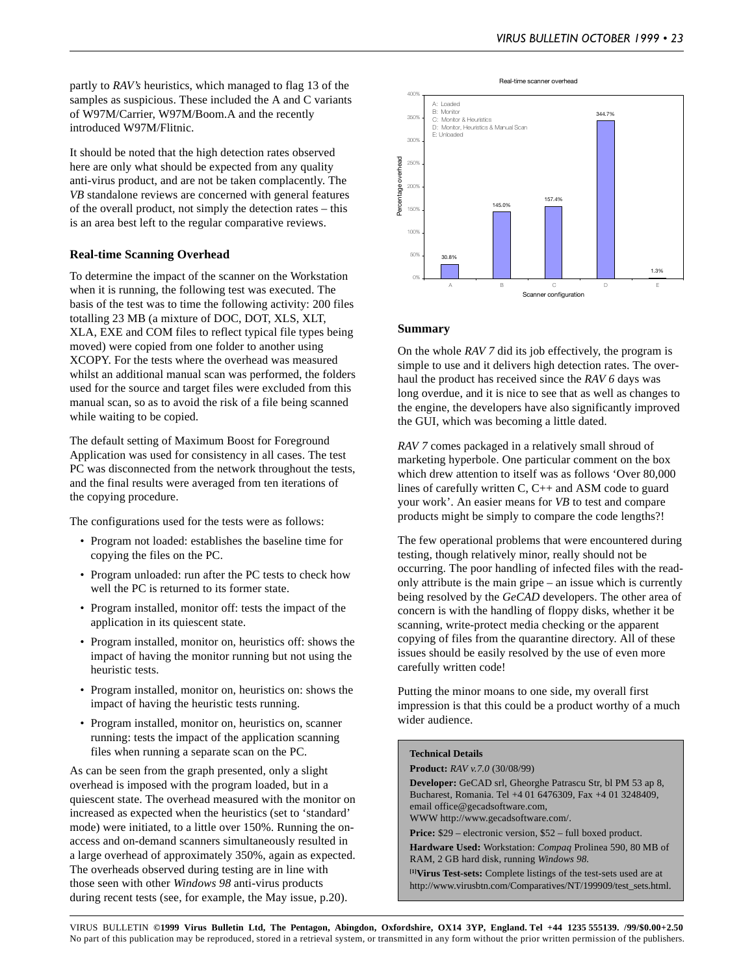partly to *RAV's* heuristics, which managed to flag 13 of the samples as suspicious. These included the A and C variants of W97M/Carrier, W97M/Boom.A and the recently introduced W97M/Flitnic.

It should be noted that the high detection rates observed here are only what should be expected from any quality anti-virus product, and are not be taken complacently. The *VB* standalone reviews are concerned with general features of the overall product, not simply the detection rates – this is an area best left to the regular comparative reviews.

#### **Real-time Scanning Overhead**

To determine the impact of the scanner on the Workstation when it is running, the following test was executed. The basis of the test was to time the following activity: 200 files totalling 23 MB (a mixture of DOC, DOT, XLS, XLT, XLA, EXE and COM files to reflect typical file types being moved) were copied from one folder to another using XCOPY. For the tests where the overhead was measured whilst an additional manual scan was performed, the folders used for the source and target files were excluded from this manual scan, so as to avoid the risk of a file being scanned while waiting to be copied.

The default setting of Maximum Boost for Foreground Application was used for consistency in all cases. The test PC was disconnected from the network throughout the tests, and the final results were averaged from ten iterations of the copying procedure.

The configurations used for the tests were as follows:

- Program not loaded: establishes the baseline time for copying the files on the PC.
- Program unloaded: run after the PC tests to check how well the PC is returned to its former state.
- Program installed, monitor off: tests the impact of the application in its quiescent state.
- Program installed, monitor on, heuristics off: shows the impact of having the monitor running but not using the heuristic tests.
- Program installed, monitor on, heuristics on: shows the impact of having the heuristic tests running.
- Program installed, monitor on, heuristics on, scanner running: tests the impact of the application scanning files when running a separate scan on the PC.

As can be seen from the graph presented, only a slight overhead is imposed with the program loaded, but in a quiescent state. The overhead measured with the monitor on increased as expected when the heuristics (set to 'standard' mode) were initiated, to a little over 150%. Running the onaccess and on-demand scanners simultaneously resulted in a large overhead of approximately 350%, again as expected. The overheads observed during testing are in line with those seen with other *Windows 98* anti-virus products during recent tests (see, for example, the May issue, p.20).



#### **Summary**

On the whole *RAV 7* did its job effectively, the program is simple to use and it delivers high detection rates. The overhaul the product has received since the *RAV 6* days was long overdue, and it is nice to see that as well as changes to the engine, the developers have also significantly improved the GUI, which was becoming a little dated.

*RAV 7* comes packaged in a relatively small shroud of marketing hyperbole. One particular comment on the box which drew attention to itself was as follows 'Over 80,000 lines of carefully written C, C++ and ASM code to guard your work'. An easier means for *VB* to test and compare products might be simply to compare the code lengths?!

The few operational problems that were encountered during testing, though relatively minor, really should not be occurring. The poor handling of infected files with the readonly attribute is the main gripe – an issue which is currently being resolved by the *GeCAD* developers. The other area of concern is with the handling of floppy disks, whether it be scanning, write-protect media checking or the apparent copying of files from the quarantine directory. All of these issues should be easily resolved by the use of even more carefully written code!

Putting the minor moans to one side, my overall first impression is that this could be a product worthy of a much wider audience.

#### **Technical Details**

**Product:** *RAV v.7.0* (30/08/99)

**Developer:** GeCAD srl, Gheorghe Patrascu Str, bl PM 53 ap 8, Bucharest, Romania. Tel +4 01 6476309, Fax +4 01 3248409, email office@gecadsoftware.com, WWW http://www.gecadsoftware.com/.

Price: \$29 – electronic version, \$52 – full boxed product.

**Hardware Used:** Workstation: *Compaq* Prolinea 590, 80 MB of RAM, 2 GB hard disk, running *Windows 98.*

**[1]Virus Test-sets:** Complete listings of the test-sets used are at http://www.virusbtn.com/Comparatives/NT/199909/test\_sets.html.